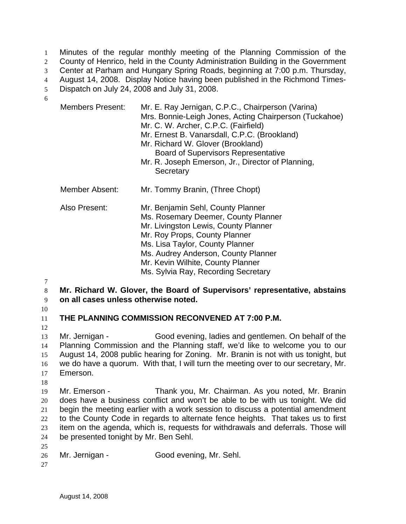Minutes of the regular monthly meeting of the Planning Commission of the County of Henrico, held in the County Administration Building in the Government Center at Parham and Hungary Spring Roads, beginning at 7:00 p.m. Thursday, August 14, 2008. Display Notice having been published in the Richmond Times-Dispatch on July 24, 2008 and July 31, 2008. 1  $2<sup>2</sup>$ 3 4 5

6

| Members Present: | Mr. E. Ray Jernigan, C.P.C., Chairperson (Varina)<br>Mrs. Bonnie-Leigh Jones, Acting Chairperson (Tuckahoe)<br>Mr. C. W. Archer, C.P.C. (Fairfield)<br>Mr. Ernest B. Vanarsdall, C.P.C. (Brookland)<br>Mr. Richard W. Glover (Brookland)<br><b>Board of Supervisors Representative</b><br>Mr. R. Joseph Emerson, Jr., Director of Planning,<br>Secretary |
|------------------|----------------------------------------------------------------------------------------------------------------------------------------------------------------------------------------------------------------------------------------------------------------------------------------------------------------------------------------------------------|
| Member Absent:   | Mr. Tommy Branin, (Three Chopt)                                                                                                                                                                                                                                                                                                                          |
| Also Present:    | Mr. Benjamin Sehl, County Planner<br>Ms. Rosemary Deemer, County Planner<br>Mr. Livingston Lewis, County Planner<br>Mr. Roy Props, County Planner<br>Ms. Lisa Taylor, County Planner<br>Ms. Audrey Anderson, County Planner<br>Mr. Kevin Wilhite, County Planner<br>Ms. Sylvia Ray, Recording Secretary                                                  |

7

8 9 **Mr. Richard W. Glover, the Board of Supervisors' representative, abstains on all cases unless otherwise noted.** 

10

11

12 **THE PLANNING COMMISSION RECONVENED AT 7:00 P.M.** 

13 14 15 16 17 Mr. Jernigan - Good evening, ladies and gentlemen. On behalf of the Planning Commission and the Planning staff, we'd like to welcome you to our August 14, 2008 public hearing for Zoning. Mr. Branin is not with us tonight, but we do have a quorum. With that, I will turn the meeting over to our secretary, Mr. Emerson.

18

19 20 21 22 23 24 Mr. Emerson - Thank you, Mr. Chairman. As you noted, Mr. Branin does have a business conflict and won't be able to be with us tonight. We did begin the meeting earlier with a work session to discuss a potential amendment to the County Code in regards to alternate fence heights. That takes us to first item on the agenda, which is, requests for withdrawals and deferrals. Those will be presented tonight by Mr. Ben Sehl.

- 26 Mr. Jernigan - Good evening, Mr. Sehl.
- 27

25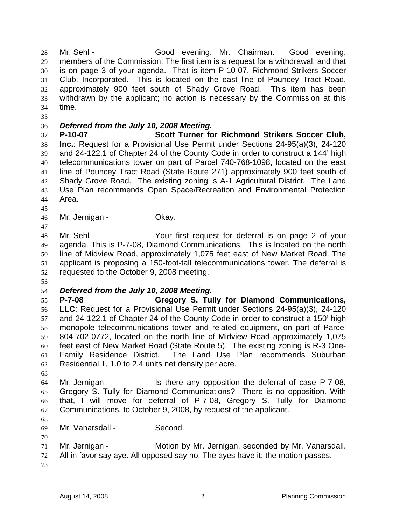Mr. Sehl - Good evening, Mr. Chairman. Good evening, members of the Commission. The first item is a request for a withdrawal, and that is on page 3 of your agenda. That is item P-10-07, Richmond Strikers Soccer Club, Incorporated. This is located on the east line of Pouncey Tract Road, approximately 900 feet south of Shady Grove Road. This item has been withdrawn by the applicant; no action is necessary by the Commission at this time. 28 29 30 31 32 33 34

35

## 36 *Deferred from the July 10, 2008 Meeting.*

37 38 39 40 41 42 43 44 **P-10-07 Scott Turner for Richmond Strikers Soccer Club, Inc.**: Request for a Provisional Use Permit under Sections 24-95(a)(3), 24-120 and 24-122.1 of Chapter 24 of the County Code in order to construct a 144' high telecommunications tower on part of Parcel 740-768-1098, located on the east line of Pouncey Tract Road (State Route 271) approximately 900 feet south of Shady Grove Road. The existing zoning is A-1 Agricultural District. The Land Use Plan recommends Open Space/Recreation and Environmental Protection Area.

45 46

47

Mr. Jernigan - **Okay.** 

48 49 50 51 52 Mr. Sehl - Your first request for deferral is on page 2 of your agenda. This is P-7-08, Diamond Communications. This is located on the north line of Midview Road, approximately 1,075 feet east of New Market Road. The applicant is proposing a 150-foot-tall telecommunications tower. The deferral is requested to the October 9, 2008 meeting.

53

## 54 *Deferred from the July 10, 2008 Meeting.*

55 56 57 58 59 60 61 62 **P-7-08 Gregory S. Tully for Diamond Communications, LLC**: Request for a Provisional Use Permit under Sections 24-95(a)(3), 24-120 and 24-122.1 of Chapter 24 of the County Code in order to construct a 150' high monopole telecommunications tower and related equipment, on part of Parcel 804-702-0772, located on the north line of Midview Road approximately 1,075 feet east of New Market Road (State Route 5). The existing zoning is R-3 One-Family Residence District. The Land Use Plan recommends Suburban Residential 1, 1.0 to 2.4 units net density per acre.

63

64 65 66 67 Mr. Jernigan - Is there any opposition the deferral of case P-7-08, Gregory S. Tully for Diamond Communications? There is no opposition. With that, I will move for deferral of P-7-08, Gregory S. Tully for Diamond Communications, to October 9, 2008, by request of the applicant.

68

69 Mr. Vanarsdall - Second.

70

71 Mr. Jernigan - Motion by Mr. Jernigan, seconded by Mr. Vanarsdall.

- 72 All in favor say aye. All opposed say no. The ayes have it; the motion passes.
- 73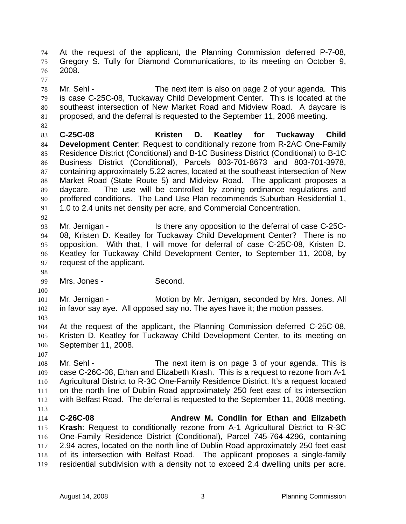At the request of the applicant, the Planning Commission deferred P-7-08, Gregory S. Tully for Diamond Communications, to its meeting on October 9, 2008. 74 75 76

77

78 79 80 81 Mr. Sehl - The next item is also on page 2 of your agenda. This is case C-25C-08, Tuckaway Child Development Center. This is located at the southeast intersection of New Market Road and Midview Road. A daycare is proposed, and the deferral is requested to the September 11, 2008 meeting.

82

83 84 85 86 87 88 89 90 91 **C-25C-08 Kristen D. Keatley for Tuckaway Child Development Center**: Request to conditionally rezone from R-2AC One-Family Residence District (Conditional) and B-1C Business District (Conditional) to B-1C Business District (Conditional), Parcels 803-701-8673 and 803-701-3978, containing approximately 5.22 acres, located at the southeast intersection of New Market Road (State Route 5) and Midview Road. The applicant proposes a daycare. The use will be controlled by zoning ordinance regulations and proffered conditions. The Land Use Plan recommends Suburban Residential 1, 1.0 to 2.4 units net density per acre, and Commercial Concentration.

93 94 95 96 97 Mr. Jernigan - The Is there any opposition to the deferral of case C-25C-08, Kristen D. Keatley for Tuckaway Child Development Center? There is no opposition. With that, I will move for deferral of case C-25C-08, Kristen D. Keatley for Tuckaway Child Development Center, to September 11, 2008, by request of the applicant.

98

100

92

99 Mrs. Jones - Second.

101 102 103 Mr. Jernigan - **Motion by Mr. Jernigan, seconded by Mrs. Jones. All** in favor say aye. All opposed say no. The ayes have it; the motion passes.

104 105 106 At the request of the applicant, the Planning Commission deferred C-25C-08, Kristen D. Keatley for Tuckaway Child Development Center, to its meeting on September 11, 2008.

107

108 109 110 111 112 113 Mr. Sehl - The next item is on page 3 of your agenda. This is case C-26C-08, Ethan and Elizabeth Krash. This is a request to rezone from A-1 Agricultural District to R-3C One-Family Residence District. It's a request located on the north line of Dublin Road approximately 250 feet east of its intersection with Belfast Road. The deferral is requested to the September 11, 2008 meeting.

114 115 116 117 118 119 **C-26C-08 Andrew M. Condlin for Ethan and Elizabeth Krash**: Request to conditionally rezone from A-1 Agricultural District to R-3C One-Family Residence District (Conditional), Parcel 745-764-4296, containing 2.94 acres, located on the north line of Dublin Road approximately 250 feet east of its intersection with Belfast Road. The applicant proposes a single-family residential subdivision with a density not to exceed 2.4 dwelling units per acre.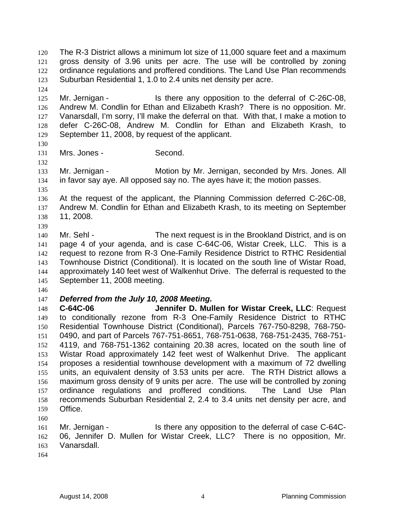The R-3 District allows a minimum lot size of 11,000 square feet and a maximum gross density of 3.96 units per acre. The use will be controlled by zoning ordinance regulations and proffered conditions. The Land Use Plan recommends Suburban Residential 1, 1.0 to 2.4 units net density per acre. 120 121 122 123

125 126 127 128 129 Mr. Jernigan - Is there any opposition to the deferral of C-26C-08, Andrew M. Condlin for Ethan and Elizabeth Krash? There is no opposition. Mr. Vanarsdall, I'm sorry, I'll make the deferral on that. With that, I make a motion to defer C-26C-08, Andrew M. Condlin for Ethan and Elizabeth Krash, to September 11, 2008, by request of the applicant.

130

132

124

131 Mrs. Jones - Second.

133 134 Mr. Jernigan - **Motion by Mr. Jernigan, seconded by Mrs. Jones. All** in favor say aye. All opposed say no. The ayes have it; the motion passes.

135 136 137 138 At the request of the applicant, the Planning Commission deferred C-26C-08, Andrew M. Condlin for Ethan and Elizabeth Krash, to its meeting on September 11, 2008.

140 141 142 143 144 145 Mr. Sehl - The next request is in the Brookland District, and is on page 4 of your agenda, and is case C-64C-06, Wistar Creek, LLC. This is a request to rezone from R-3 One-Family Residence District to RTHC Residential Townhouse District (Conditional). It is located on the south line of Wistar Road, approximately 140 feet west of Walkenhut Drive. The deferral is requested to the September 11, 2008 meeting.

146

139

147 *Deferred from the July 10, 2008 Meeting.*

148 149 150 151 152 153 154 155 156 157 158 159 **C-64C-06 Jennifer D. Mullen for Wistar Creek, LLC**: Request to conditionally rezone from R-3 One-Family Residence District to RTHC Residential Townhouse District (Conditional), Parcels 767-750-8298, 768-750- 0490, and part of Parcels 767-751-8651, 768-751-0638, 768-751-2435, 768-751- 4119, and 768-751-1362 containing 20.38 acres, located on the south line of Wistar Road approximately 142 feet west of Walkenhut Drive. The applicant proposes a residential townhouse development with a maximum of 72 dwelling units, an equivalent density of 3.53 units per acre. The RTH District allows a maximum gross density of 9 units per acre. The use will be controlled by zoning ordinance regulations and proffered conditions. The Land Use Plan recommends Suburban Residential 2, 2.4 to 3.4 units net density per acre, and Office.

160

```
161 
162 
163 
     Mr. Jernigan - Is there any opposition to the deferral of case C-64C-
     06, Jennifer D. Mullen for Wistar Creek, LLC? There is no opposition, Mr. 
     Vanarsdall.
```
164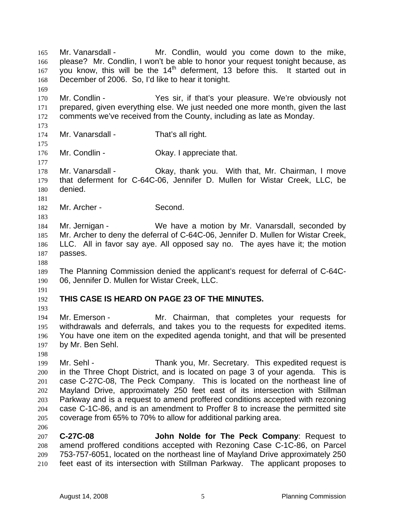Mr. Vanarsdall - Mr. Condlin, would you come down to the mike, please? Mr. Condlin, I won't be able to honor your request tonight because, as you know, this will be the  $14<sup>th</sup>$  deferment, 13 before this. It started out in December of 2006. So, I'd like to hear it tonight. 165 166 167 168 169 170 171 172 173 174 175 176 177 178 179 180 181 182 183 184 185 186 187 188 189 190 191 192 193 194 195 196 197 198 199 200 201 202 203 204 205 206 207 208 209 210 Mr. Condlin - The Yes sir, if that's your pleasure. We're obviously not prepared, given everything else. We just needed one more month, given the last comments we've received from the County, including as late as Monday. Mr. Vanarsdall - That's all right. Mr. Condlin - Cassette Condinuity Condinuity Okay. I appreciate that. Mr. Vanarsdall - Ckay, thank you. With that, Mr. Chairman, I move that deferment for C-64C-06, Jennifer D. Mullen for Wistar Creek, LLC, be denied. Mr. Archer - Second. Mr. Jernigan - We have a motion by Mr. Vanarsdall, seconded by Mr. Archer to deny the deferral of C-64C-06, Jennifer D. Mullen for Wistar Creek, LLC. All in favor say aye. All opposed say no. The ayes have it; the motion passes. The Planning Commission denied the applicant's request for deferral of C-64C-06, Jennifer D. Mullen for Wistar Creek, LLC. **THIS CASE IS HEARD ON PAGE 23 OF THE MINUTES.**  Mr. Emerson - The Mr. Chairman, that completes your requests for withdrawals and deferrals, and takes you to the requests for expedited items. You have one item on the expedited agenda tonight, and that will be presented by Mr. Ben Sehl. Mr. Sehl - Thank you, Mr. Secretary. This expedited request is in the Three Chopt District, and is located on page 3 of your agenda. This is case C-27C-08, The Peck Company. This is located on the northeast line of Mayland Drive, approximately 250 feet east of its intersection with Stillman Parkway and is a request to amend proffered conditions accepted with rezoning case C-1C-86, and is an amendment to Proffer 8 to increase the permitted site coverage from 65% to 70% to allow for additional parking area. **C-27C-08 John Nolde for The Peck Company**: Request to amend proffered conditions accepted with Rezoning Case C-1C-86, on Parcel 753-757-6051, located on the northeast line of Mayland Drive approximately 250 feet east of its intersection with Stillman Parkway. The applicant proposes to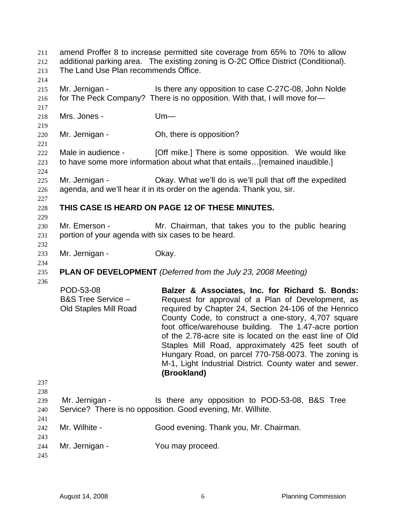amend Proffer 8 to increase permitted site coverage from 65% to 70% to allow additional parking area. The existing zoning is O-2C Office District (Conditional). The Land Use Plan recommends Office. 211 212 213 214 215 216 217 218 219 220 221 222 223 224 225 226 227 228 229 230 231 232 233 234 235 236 237 238 239 240 241 242 243 244 245 Mr. Jernigan - The Is there any opposition to case C-27C-08, John Nolde for The Peck Company? There is no opposition. With that, I will move for— Mrs. Jones - Um— Mr. Jernigan - Ch, there is opposition? Male in audience - [Off mike.] There is some opposition. We would like to have some more information about what that entails…[remained inaudible.] Mr. Jernigan - Okay. What we'll do is we'll pull that off the expedited agenda, and we'll hear it in its order on the agenda. Thank you, sir. **THIS CASE IS HEARD ON PAGE 12 OF THESE MINUTES.**  Mr. Emerson - Mr. Chairman, that takes you to the public hearing portion of your agenda with six cases to be heard. Mr. Jernigan - Ckay. **PLAN OF DEVELOPMENT** *(Deferred from the July 23, 2008 Meeting)* POD-53-08 B&S Tree Service – Old Staples Mill Road **Balzer & Associates, Inc. for Richard S. Bonds:**  Request for approval of a Plan of Development, as required by Chapter 24, Section 24-106 of the Henrico County Code, to construct a one-story, 4,707 square foot office/warehouse building. The 1.47-acre portion of the 2.78-acre site is located on the east line of Old Staples Mill Road, approximately 425 feet south of Hungary Road, on parcel 770-758-0073. The zoning is M-1, Light Industrial District. County water and sewer. **(Brookland)**  Mr. Jernigan - Is there any opposition to POD-53-08, B&S Tree Service? There is no opposition. Good evening, Mr. Wilhite. Mr. Wilhite - Good evening. Thank you, Mr. Chairman. Mr. Jernigan - You may proceed.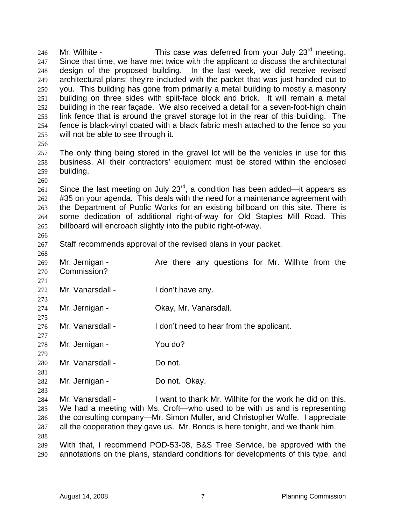Mr. Wilhite - This case was deferred from your July 23<sup>rd</sup> meeting. Since that time, we have met twice with the applicant to discuss the architectural design of the proposed building. In the last week, we did receive revised architectural plans; they're included with the packet that was just handed out to you. This building has gone from primarily a metal building to mostly a masonry building on three sides with split-face block and brick. It will remain a metal building in the rear façade. We also received a detail for a seven-foot-high chain link fence that is around the gravel storage lot in the rear of this building. The fence is black-vinyl coated with a black fabric mesh attached to the fence so you will not be able to see through it. 246 247 248 249 250 251 252 253 254 255

256

260

266

257 258 259 The only thing being stored in the gravel lot will be the vehicles in use for this business. All their contractors' equipment must be stored within the enclosed building.

261 262 263 264 265 Since the last meeting on July  $23^{\text{rd}}$ , a condition has been added—it appears as #35 on your agenda. This deals with the need for a maintenance agreement with the Department of Public Works for an existing billboard on this site. There is some dedication of additional right-of-way for Old Staples Mill Road. This billboard will encroach slightly into the public right-of-way.

267 Staff recommends approval of the revised plans in your packet.

268 269 270 271 272 273 274 275 276 277 278 279 280 281 282 283 Mr. Jernigan - Are there any questions for Mr. Wilhite from the Commission? Mr. Vanarsdall - I don't have any. Mr. Jernigan - Ckay, Mr. Vanarsdall. Mr. Vanarsdall - I don't need to hear from the applicant. Mr. Jernigan - You do? Mr. Vanarsdall - Do not. Mr. Jernigan - **Do not. Okay.** 

284 285 286 287 288 Mr. Vanarsdall - I want to thank Mr. Wilhite for the work he did on this. We had a meeting with Ms. Croft—who used to be with us and is representing the consulting company—Mr. Simon Muller, and Christopher Wolfe. I appreciate all the cooperation they gave us. Mr. Bonds is here tonight, and we thank him.

289 290 With that, I recommend POD-53-08, B&S Tree Service, be approved with the annotations on the plans, standard conditions for developments of this type, and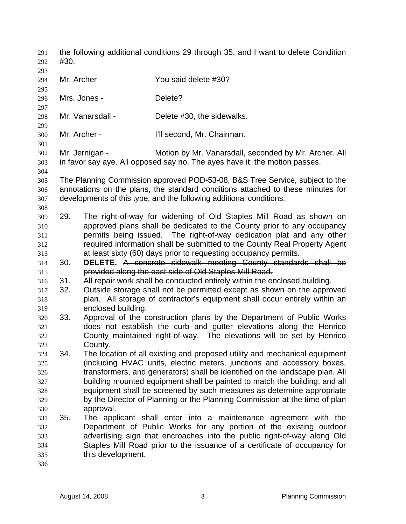the following additional conditions 29 through 35, and I want to delete Condition #30. 291 292 293 294 295 296 297 298 299 300 301 302 303 304 305 306 307 308 310 311 312 313 Mr. Archer - You said delete #30? Mrs. Jones - **Delete?** Mr. Vanarsdall - Delete #30, the sidewalks. Mr. Archer - Till second, Mr. Chairman. Mr. Jernigan - Motion by Mr. Vanarsdall, seconded by Mr. Archer. All in favor say aye. All opposed say no. The ayes have it; the motion passes. The Planning Commission approved POD-53-08, B&S Tree Service, subject to the annotations on the plans, the standard conditions attached to these minutes for developments of this type, and the following additional conditions: 309 29. The right-of-way for widening of Old Staples Mill Road as shown on approved plans shall be dedicated to the County prior to any occupancy permits being issued. The right-of-way dedication plat and any other required information shall be submitted to the County Real Property Agent at least sixty (60) days prior to requesting occupancy permits. 314 30. **DELETE.** A concrete sidewalk meeting County standards shall be 315 provided along the east side of Old Staples Mill Road. 316 317 318 319 320 321 322 323 324 325 326 327 328 329 330 331 332 333 334 335 336 31. All repair work shall be conducted entirely within the enclosed building. 32. Outside storage shall not be permitted except as shown on the approved plan. All storage of contractor's equipment shall occur entirely within an enclosed building. 33. Approval of the construction plans by the Department of Public Works does not establish the curb and gutter elevations along the Henrico County maintained right-of-way. The elevations will be set by Henrico County. 34. The location of all existing and proposed utility and mechanical equipment (including HVAC units, electric meters, junctions and accessory boxes, transformers, and generators) shall be identified on the landscape plan. All building mounted equipment shall be painted to match the building, and all equipment shall be screened by such measures as determine appropriate by the Director of Planning or the Planning Commission at the time of plan approval. 35. The applicant shall enter into a maintenance agreement with the Department of Public Works for any portion of the existing outdoor advertising sign that encroaches into the public right-of-way along Old Staples Mill Road prior to the issuance of a certificate of occupancy for this development.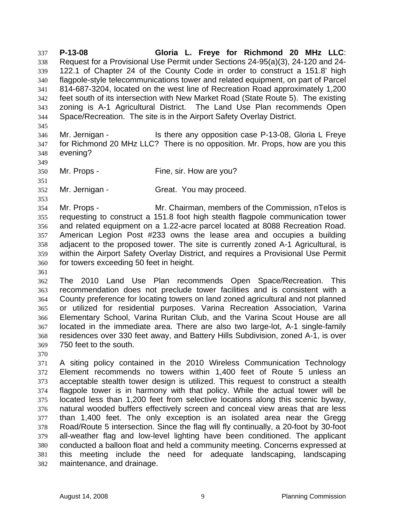**P-13-08 Gloria L. Freye for Richmond 20 MHz LLC**: Request for a Provisional Use Permit under Sections 24-95(a)(3), 24-120 and 24- 122.1 of Chapter 24 of the County Code in order to construct a 151.8' high flagpole-style telecommunications tower and related equipment, on part of Parcel 814-687-3204, located on the west line of Recreation Road approximately 1,200 feet south of its intersection with New Market Road (State Route 5). The existing zoning is A-1 Agricultural District. The Land Use Plan recommends Open Space/Recreation. The site is in the Airport Safety Overlay District. 337 338 339 340 341 342 343 344

- 346 347 348 Mr. Jernigan - Is there any opposition case P-13-08, Gloria L Freye for Richmond 20 MHz LLC? There is no opposition. Mr. Props, how are you this evening?
- 350 Mr. Props - Fine, sir. How are you?
- 352 Mr. Jernigan - Great. You may proceed.

354 355 356 357 358 359 360 Mr. Props - Mr. Chairman, members of the Commission, nTelos is requesting to construct a 151.8 foot high stealth flagpole communication tower and related equipment on a 1.22-acre parcel located at 8088 Recreation Road. American Legion Post #233 owns the lease area and occupies a building adjacent to the proposed tower. The site is currently zoned A-1 Agricultural, is within the Airport Safety Overlay District, and requires a Provisional Use Permit for towers exceeding 50 feet in height.

- 362 363 364 365 366 367 368 369 The 2010 Land Use Plan recommends Open Space/Recreation. This recommendation does not preclude tower facilities and is consistent with a County preference for locating towers on land zoned agricultural and not planned or utilized for residential purposes. Varina Recreation Association, Varina Elementary School, Varina Ruritan Club, and the Varina Scout House are all located in the immediate area. There are also two large-lot, A-1 single-family residences over 330 feet away, and Battery Hills Subdivision, zoned A-1, is over 750 feet to the south.
- 370

345

349

351

353

361

371 372 373 374 375 376 377 378 379 380 381 382 A siting policy contained in the 2010 Wireless Communication Technology Element recommends no towers within 1,400 feet of Route 5 unless an acceptable stealth tower design is utilized. This request to construct a stealth flagpole tower is in harmony with that policy. While the actual tower will be located less than 1,200 feet from selective locations along this scenic byway, natural wooded buffers effectively screen and conceal view areas that are less than 1,400 feet. The only exception is an isolated area near the Gregg Road/Route 5 intersection. Since the flag will fly continually, a 20-foot by 30-foot all-weather flag and low-level lighting have been conditioned. The applicant conducted a balloon float and held a community meeting. Concerns expressed at this meeting include the need for adequate landscaping, landscaping maintenance, and drainage.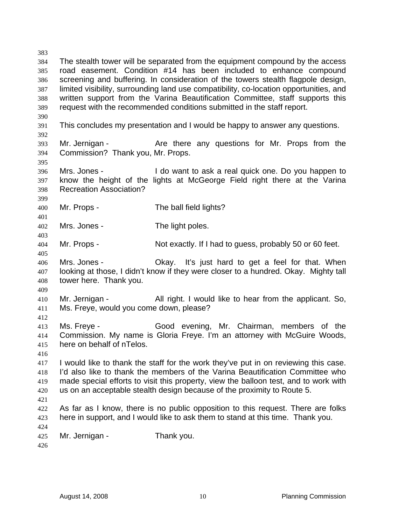383 384 385 386 387 388 389 390 391 392 393 394 395 396 397 398 399 400 401 402 403 404 405 406 407 408 409 410 411 412 413 414 415 416 417 418 419 420 421 422 423 424 425 426 The stealth tower will be separated from the equipment compound by the access road easement. Condition #14 has been included to enhance compound screening and buffering. In consideration of the towers stealth flagpole design, limited visibility, surrounding land use compatibility, co-location opportunities, and written support from the Varina Beautification Committee, staff supports this request with the recommended conditions submitted in the staff report. This concludes my presentation and I would be happy to answer any questions. Mr. Jernigan - The Are there any questions for Mr. Props from the Commission? Thank you, Mr. Props. Mrs. Jones - I do want to ask a real quick one. Do you happen to know the height of the lights at McGeorge Field right there at the Varina Recreation Association? Mr. Props - The ball field lights? Mrs. Jones - The light poles. Mr. Props - Not exactly. If I had to guess, probably 50 or 60 feet. Mrs. Jones - Okay. It's just hard to get a feel for that. When looking at those, I didn't know if they were closer to a hundred. Okay. Mighty tall tower here. Thank you. Mr. Jernigan - All right. I would like to hear from the applicant. So, Ms. Freye, would you come down, please? Ms. Freye - Good evening, Mr. Chairman, members of the Commission. My name is Gloria Freye. I'm an attorney with McGuire Woods, here on behalf of nTelos. I would like to thank the staff for the work they've put in on reviewing this case. I'd also like to thank the members of the Varina Beautification Committee who made special efforts to visit this property, view the balloon test, and to work with us on an acceptable stealth design because of the proximity to Route 5. As far as I know, there is no public opposition to this request. There are folks here in support, and I would like to ask them to stand at this time. Thank you. Mr. Jernigan - Thank you.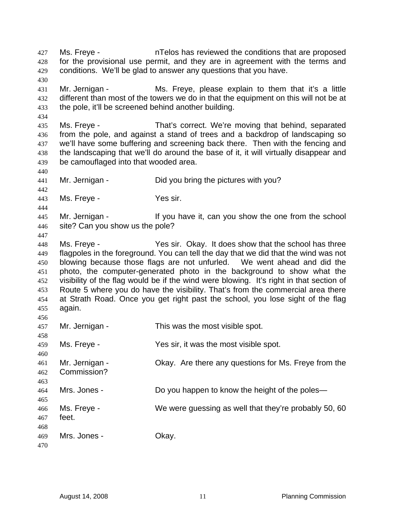Ms. Freye - nTelos has reviewed the conditions that are proposed for the provisional use permit, and they are in agreement with the terms and conditions. We'll be glad to answer any questions that you have. 427 428 429 430 431 432 433 434 435 436 437 438 439 440 441 442 443 444 445 446 447 448 449 450 451 452 453 454 455 456 457 458 459 460 461 462 463 464 465 466 467 468 469 470 Mr. Jernigan - Ms. Freye, please explain to them that it's a little different than most of the towers we do in that the equipment on this will not be at the pole, it'll be screened behind another building. Ms. Freye - That's correct. We're moving that behind, separated from the pole, and against a stand of trees and a backdrop of landscaping so we'll have some buffering and screening back there. Then with the fencing and the landscaping that we'll do around the base of it, it will virtually disappear and be camouflaged into that wooded area. Mr. Jernigan - Did you bring the pictures with you? Ms. Freye - Yes sir. Mr. Jernigan - The Music of the Vou have it, can you show the one from the school site? Can you show us the pole? Ms. Freye - The Yes sir. Okay. It does show that the school has three flagpoles in the foreground. You can tell the day that we did that the wind was not blowing because those flags are not unfurled. We went ahead and did the photo, the computer-generated photo in the background to show what the visibility of the flag would be if the wind were blowing. It's right in that section of Route 5 where you do have the visibility. That's from the commercial area there at Strath Road. Once you get right past the school, you lose sight of the flag again. Mr. Jernigan - This was the most visible spot. Ms. Freye - The Mes sir, it was the most visible spot. Mr. Jernigan - Ckay. Are there any questions for Ms. Freye from the Commission? Mrs. Jones - Do you happen to know the height of the poles— Ms. Freye - We were guessing as well that they're probably 50, 60 feet. Mrs. Jones - Chay.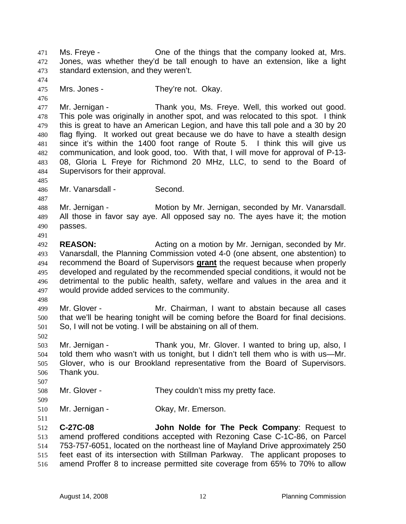Ms. Freye - One of the things that the company looked at, Mrs. Jones, was whether they'd be tall enough to have an extension, like a light standard extension, and they weren't. 471 472 473 474 475 476 477 478 479 480 481 482 483 484 485 486 487 488 489 490 491 492 493 Mrs. Jones - They're not. Okay. Mr. Jernigan - Thank you, Ms. Freye. Well, this worked out good. This pole was originally in another spot, and was relocated to this spot. I think this is great to have an American Legion, and have this tall pole and a 30 by 20 flag flying. It worked out great because we do have to have a stealth design since it's within the 1400 foot range of Route 5. I think this will give us communication, and look good, too. With that, I will move for approval of P-13- 08, Gloria L Freye for Richmond 20 MHz, LLC, to send to the Board of Supervisors for their approval. Mr. Vanarsdall - Second. Mr. Jernigan - Motion by Mr. Jernigan, seconded by Mr. Vanarsdall. All those in favor say aye. All opposed say no. The ayes have it; the motion passes. **REASON:** Acting on a motion by Mr. Jernigan, seconded by Mr. Vanarsdall, the Planning Commission voted 4-0 (one absent, one abstention) to recommend the Board of Supervisors **grant** the request because when properly developed and regulated by the recommended special conditions, it would not be detrimental to the public health, safety, welfare and values in the area and it would provide added services to the community. 494 495 496 497 498 499 500 501 502 503 504 505 506 507 508 509 510 511 512 513 514 515 516 Mr. Glover - Mr. Chairman, I want to abstain because all cases that we'll be hearing tonight will be coming before the Board for final decisions. So, I will not be voting. I will be abstaining on all of them. Mr. Jernigan - Thank you, Mr. Glover. I wanted to bring up, also, I told them who wasn't with us tonight, but I didn't tell them who is with us—Mr. Glover, who is our Brookland representative from the Board of Supervisors. Thank you. Mr. Glover - They couldn't miss my pretty face. Mr. Jernigan - **Carry Contact Contact Contact Contact Contact Contact Contact Contact Contact Contact Contact Contact Contact Contact Contact Contact Contact Contact Contact Contact Contact Contact Contact Contact Contact C-27C-08 John Nolde for The Peck Company**: Request to amend proffered conditions accepted with Rezoning Case C-1C-86, on Parcel 753-757-6051, located on the northeast line of Mayland Drive approximately 250 feet east of its intersection with Stillman Parkway. The applicant proposes to amend Proffer 8 to increase permitted site coverage from 65% to 70% to allow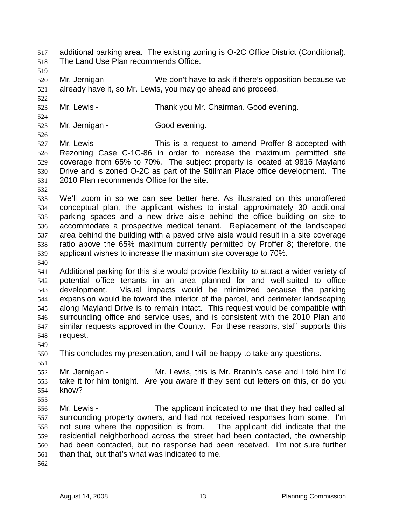additional parking area. The existing zoning is O-2C Office District (Conditional). The Land Use Plan recommends Office. 517 518 519 520 521 522 523 524 525 526 527 528 529 530 531 532 533 534 535 536 537 538 539 540 541 542 543 544 545 546 547 548 549 550 551 552 553 554 555 556 557 558 559 560 561 562 Mr. Jernigan - We don't have to ask if there's opposition because we already have it, so Mr. Lewis, you may go ahead and proceed. Mr. Lewis - Thank you Mr. Chairman. Good evening. Mr. Jernigan - Good evening. Mr. Lewis - This is a request to amend Proffer 8 accepted with Rezoning Case C-1C-86 in order to increase the maximum permitted site coverage from 65% to 70%. The subject property is located at 9816 Mayland Drive and is zoned O-2C as part of the Stillman Place office development. The 2010 Plan recommends Office for the site. We'll zoom in so we can see better here. As illustrated on this unproffered conceptual plan, the applicant wishes to install approximately 30 additional parking spaces and a new drive aisle behind the office building on site to accommodate a prospective medical tenant. Replacement of the landscaped area behind the building with a paved drive aisle would result in a site coverage ratio above the 65% maximum currently permitted by Proffer 8; therefore, the applicant wishes to increase the maximum site coverage to 70%. Additional parking for this site would provide flexibility to attract a wider variety of potential office tenants in an area planned for and well-suited to office development. Visual impacts would be minimized because the parking expansion would be toward the interior of the parcel, and perimeter landscaping along Mayland Drive is to remain intact. This request would be compatible with surrounding office and service uses, and is consistent with the 2010 Plan and similar requests approved in the County. For these reasons, staff supports this request. This concludes my presentation, and I will be happy to take any questions. Mr. Jernigan - Mr. Lewis, this is Mr. Branin's case and I told him I'd take it for him tonight. Are you aware if they sent out letters on this, or do you know? Mr. Lewis - The applicant indicated to me that they had called all surrounding property owners, and had not received responses from some. I'm not sure where the opposition is from. The applicant did indicate that the residential neighborhood across the street had been contacted, the ownership had been contacted, but no response had been received. I'm not sure further than that, but that's what was indicated to me.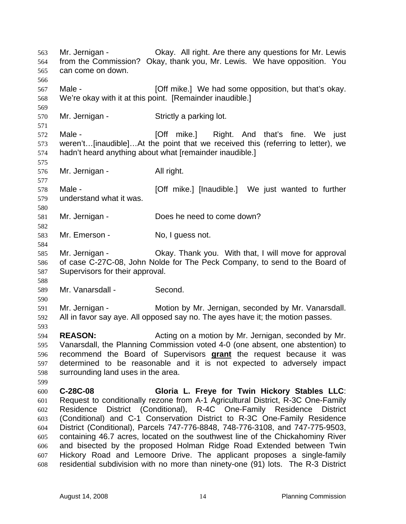Mr. Jernigan - Okay. All right. Are there any questions for Mr. Lewis from the Commission? Okay, thank you, Mr. Lewis. We have opposition. You can come on down. 563 564 565 566 567 568 569 570 571 572 573 574 575 576 577 578 579 580 581 582 583 584 585 586 587 588 589 590 591 592 593 594 595 Male - **Example 2** [Off mike.] We had some opposition, but that's okay. We're okay with it at this point. [Remainder inaudible.] Mr. Jernigan - Strictly a parking lot. Male - [Off mike.] Right. And that's fine. We just weren't…[inaudible]…At the point that we received this (referring to letter), we hadn't heard anything about what [remainder inaudible.] Mr. Jernigan - All right. Male - [Off mike.] [Inaudible.] We just wanted to further understand what it was. Mr. Jernigan - Does he need to come down? Mr. Emerson - No, I guess not. Mr. Jernigan - Okay. Thank you. With that, I will move for approval of case C-27C-08, John Nolde for The Peck Company, to send to the Board of Supervisors for their approval. Mr. Vanarsdall - Second. Mr. Jernigan - Motion by Mr. Jernigan, seconded by Mr. Vanarsdall. All in favor say aye. All opposed say no. The ayes have it; the motion passes. **REASON: Acting on a motion by Mr. Jernigan, seconded by Mr.** Vanarsdall, the Planning Commission voted 4-0 (one absent, one abstention) to recommend the Board of Supervisors **grant** the request because it was determined to be reasonable and it is not expected to adversely impact surrounding land uses in the area. 596 597 598 599 600 601 602 603 604 605 606 607 608 **C-28C-08 Gloria L. Freye for Twin Hickory Stables LLC**: Request to conditionally rezone from A-1 Agricultural District, R-3C One-Family Residence District (Conditional), R-4C One-Family Residence District (Conditional) and C-1 Conservation District to R-3C One-Family Residence District (Conditional), Parcels 747-776-8848, 748-776-3108, and 747-775-9503, containing 46.7 acres, located on the southwest line of the Chickahominy River and bisected by the proposed Holman Ridge Road Extended between Twin Hickory Road and Lemoore Drive. The applicant proposes a single-family residential subdivision with no more than ninety-one (91) lots. The R-3 District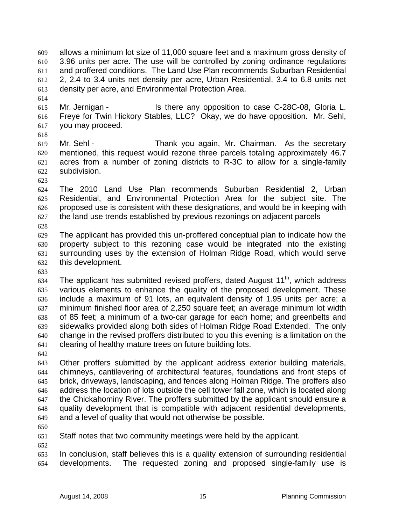allows a minimum lot size of 11,000 square feet and a maximum gross density of 3.96 units per acre. The use will be controlled by zoning ordinance regulations and proffered conditions. The Land Use Plan recommends Suburban Residential 2, 2.4 to 3.4 units net density per acre, Urban Residential, 3.4 to 6.8 units net density per acre, and Environmental Protection Area. 609 610 611 612 613

615 616 617 Mr. Jernigan - The State any opposition to case C-28C-08, Gloria L. Freye for Twin Hickory Stables, LLC? Okay, we do have opposition. Mr. Sehl, you may proceed.

618

614

619 620 621 622 Mr. Sehl - Thank you again, Mr. Chairman. As the secretary mentioned, this request would rezone three parcels totaling approximately 46.7 acres from a number of zoning districts to R-3C to allow for a single-family subdivision.

623

624 625 626 627 The 2010 Land Use Plan recommends Suburban Residential 2, Urban Residential, and Environmental Protection Area for the subject site. The proposed use is consistent with these designations, and would be in keeping with the land use trends established by previous rezonings on adjacent parcels

628

629 630 631 632 The applicant has provided this un-proffered conceptual plan to indicate how the property subject to this rezoning case would be integrated into the existing surrounding uses by the extension of Holman Ridge Road, which would serve this development.

633

634 635 636 637 638 639 640 641 The applicant has submitted revised proffers, dated August  $11<sup>th</sup>$ , which address various elements to enhance the quality of the proposed development. These include a maximum of 91 lots, an equivalent density of 1.95 units per acre; a minimum finished floor area of 2,250 square feet; an average minimum lot width of 85 feet; a minimum of a two-car garage for each home; and greenbelts and sidewalks provided along both sides of Holman Ridge Road Extended. The only change in the revised proffers distributed to you this evening is a limitation on the clearing of healthy mature trees on future building lots.

642

643 644 645 646 647 648 649 Other proffers submitted by the applicant address exterior building materials, chimneys, cantilevering of architectural features, foundations and front steps of brick, driveways, landscaping, and fences along Holman Ridge. The proffers also address the location of lots outside the cell tower fall zone, which is located along the Chickahominy River. The proffers submitted by the applicant should ensure a quality development that is compatible with adjacent residential developments, and a level of quality that would not otherwise be possible.

650

652

651 Staff notes that two community meetings were held by the applicant.

653 654 In conclusion, staff believes this is a quality extension of surrounding residential developments. The requested zoning and proposed single-family use is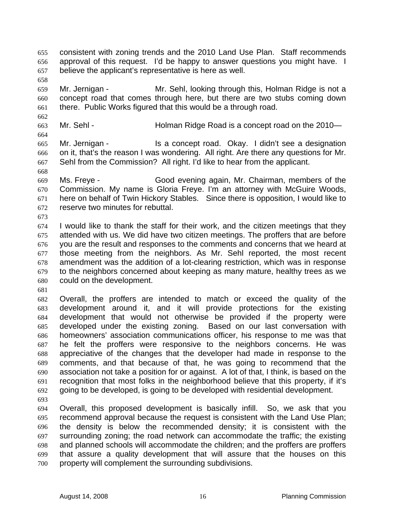consistent with zoning trends and the 2010 Land Use Plan. Staff recommends approval of this request. I'd be happy to answer questions you might have. I believe the applicant's representative is here as well. 655 656 657

659 660 661 Mr. Jernigan - Mr. Sehl, looking through this, Holman Ridge is not a concept road that comes through here, but there are two stubs coming down there. Public Works figured that this would be a through road.

663 Mr. Sehl - **Holman Ridge Road is a concept road on the 2010**—

665 666 667 Mr. Jernigan - Is a concept road. Okay. I didn't see a designation on it, that's the reason I was wondering. All right. Are there any questions for Mr. Sehl from the Commission? All right. I'd like to hear from the applicant.

669 670 671 672 Ms. Freye - Good evening again, Mr. Chairman, members of the Commission. My name is Gloria Freye. I'm an attorney with McGuire Woods, here on behalf of Twin Hickory Stables. Since there is opposition, I would like to reserve two minutes for rebuttal.

673

658

662

664

668

674 675 676 677 678 679 680 I would like to thank the staff for their work, and the citizen meetings that they attended with us. We did have two citizen meetings. The proffers that are before you are the result and responses to the comments and concerns that we heard at those meeting from the neighbors. As Mr. Sehl reported, the most recent amendment was the addition of a lot-clearing restriction, which was in response to the neighbors concerned about keeping as many mature, healthy trees as we could on the development.

681

682 683 684 685 686 687 688 689 690 691 692 Overall, the proffers are intended to match or exceed the quality of the development around it, and it will provide protections for the existing development that would not otherwise be provided if the property were developed under the existing zoning. Based on our last conversation with homeowners' association communications officer, his response to me was that he felt the proffers were responsive to the neighbors concerns. He was appreciative of the changes that the developer had made in response to the comments, and that because of that, he was going to recommend that the association not take a position for or against. A lot of that, I think, is based on the recognition that most folks in the neighborhood believe that this property, if it's going to be developed, is going to be developed with residential development.

693

694 695 696 697 698 699 700 Overall, this proposed development is basically infill. So, we ask that you recommend approval because the request is consistent with the Land Use Plan; the density is below the recommended density; it is consistent with the surrounding zoning; the road network can accommodate the traffic; the existing and planned schools will accommodate the children; and the proffers are proffers that assure a quality development that will assure that the houses on this property will complement the surrounding subdivisions.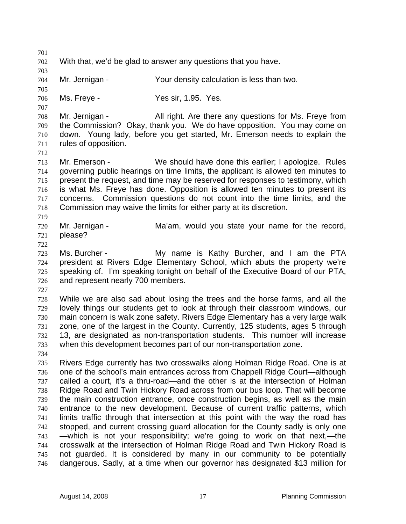701 702 703 704 705 706 707 708 709 710 711 712 713 714 715 716 717 718 719 720 721 722 723 724 725 726 727 728 729 730 731 732 733 734 735 736 737 738 739 740 741 742 743 744 745 746 With that, we'd be glad to answer any questions that you have. Mr. Jernigan - Your density calculation is less than two. Ms. Freye - The Messir, 1.95. Yes. Mr. Jernigan - All right. Are there any questions for Ms. Freye from the Commission? Okay, thank you. We do have opposition. You may come on down. Young lady, before you get started, Mr. Emerson needs to explain the rules of opposition. Mr. Emerson - We should have done this earlier; I apologize. Rules governing public hearings on time limits, the applicant is allowed ten minutes to present the request, and time may be reserved for responses to testimony, which is what Ms. Freye has done. Opposition is allowed ten minutes to present its concerns. Commission questions do not count into the time limits, and the Commission may waive the limits for either party at its discretion. Mr. Jernigan - The Ma'am, would you state your name for the record, please? Ms. Burcher - My name is Kathy Burcher, and I am the PTA president at Rivers Edge Elementary School, which abuts the property we're speaking of. I'm speaking tonight on behalf of the Executive Board of our PTA, and represent nearly 700 members. While we are also sad about losing the trees and the horse farms, and all the lovely things our students get to look at through their classroom windows, our main concern is walk zone safety. Rivers Edge Elementary has a very large walk zone, one of the largest in the County. Currently, 125 students, ages 5 through 13, are designated as non-transportation students. This number will increase when this development becomes part of our non-transportation zone. Rivers Edge currently has two crosswalks along Holman Ridge Road. One is at one of the school's main entrances across from Chappell Ridge Court—although called a court, it's a thru-road—and the other is at the intersection of Holman Ridge Road and Twin Hickory Road across from our bus loop. That will become the main construction entrance, once construction begins, as well as the main entrance to the new development. Because of current traffic patterns, which limits traffic through that intersection at this point with the way the road has stopped, and current crossing guard allocation for the County sadly is only one —which is not your responsibility; we're going to work on that next,—the crosswalk at the intersection of Holman Ridge Road and Twin Hickory Road is not guarded. It is considered by many in our community to be potentially dangerous. Sadly, at a time when our governor has designated \$13 million for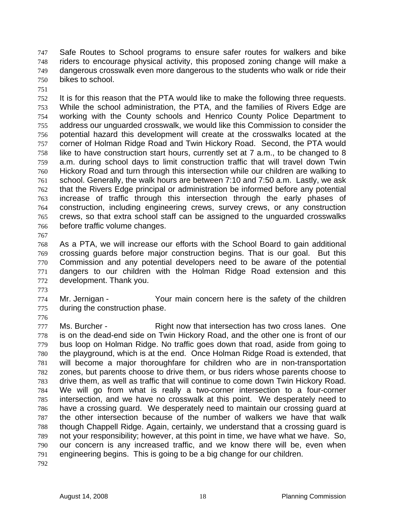Safe Routes to School programs to ensure safer routes for walkers and bike riders to encourage physical activity, this proposed zoning change will make a dangerous crosswalk even more dangerous to the students who walk or ride their bikes to school. 747 748 749 750

751

752 753 754 755 756 757 758 759 760 761 762 763 764 765 766 It is for this reason that the PTA would like to make the following three requests. While the school administration, the PTA, and the families of Rivers Edge are working with the County schools and Henrico County Police Department to address our unguarded crosswalk, we would like this Commission to consider the potential hazard this development will create at the crosswalks located at the corner of Holman Ridge Road and Twin Hickory Road. Second, the PTA would like to have construction start hours, currently set at 7 a.m., to be changed to 8 a.m. during school days to limit construction traffic that will travel down Twin Hickory Road and turn through this intersection while our children are walking to school. Generally, the walk hours are between 7:10 and 7:50 a.m. Lastly, we ask that the Rivers Edge principal or administration be informed before any potential increase of traffic through this intersection through the early phases of construction, including engineering crews, survey crews, or any construction crews, so that extra school staff can be assigned to the unguarded crosswalks before traffic volume changes.

767

768 769 770 771 772 As a PTA, we will increase our efforts with the School Board to gain additional crossing guards before major construction begins. That is our goal. But this Commission and any potential developers need to be aware of the potential dangers to our children with the Holman Ridge Road extension and this development. Thank you.

773

774 775 Mr. Jernigan - Your main concern here is the safety of the children during the construction phase.

776

777 778 779 780 781 782 783 784 785 786 787 788 789 790 791 Ms. Burcher - Right now that intersection has two cross lanes. One is on the dead-end side on Twin Hickory Road, and the other one is front of our bus loop on Holman Ridge. No traffic goes down that road, aside from going to the playground, which is at the end. Once Holman Ridge Road is extended, that will become a major thoroughfare for children who are in non-transportation zones, but parents choose to drive them, or bus riders whose parents choose to drive them, as well as traffic that will continue to come down Twin Hickory Road. We will go from what is really a two-corner intersection to a four-corner intersection, and we have no crosswalk at this point. We desperately need to have a crossing guard. We desperately need to maintain our crossing guard at the other intersection because of the number of walkers we have that walk though Chappell Ridge. Again, certainly, we understand that a crossing guard is not your responsibility; however, at this point in time, we have what we have. So, our concern is any increased traffic, and we know there will be, even when engineering begins. This is going to be a big change for our children.

792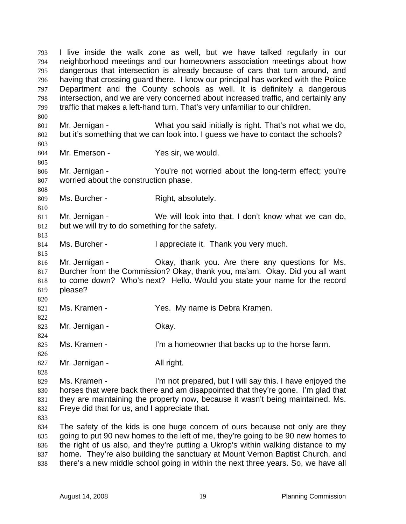I live inside the walk zone as well, but we have talked regularly in our neighborhood meetings and our homeowners association meetings about how dangerous that intersection is already because of cars that turn around, and having that crossing guard there. I know our principal has worked with the Police Department and the County schools as well. It is definitely a dangerous intersection, and we are very concerned about increased traffic, and certainly any traffic that makes a left-hand turn. That's very unfamiliar to our children. 793 794 795 796 797 798 799 800 801 802 803 804 805 806 807 808 809 810 811 812 813 814 815 816 817 818 819 820 821 822 823 824 825 826 827 828 829 830 831 832 833 834 835 836 837 Mr. Jernigan - What you said initially is right. That's not what we do, but it's something that we can look into. I guess we have to contact the schools? Mr. Emerson - Yes sir, we would. Mr. Jernigan - The You're not worried about the long-term effect; you're worried about the construction phase. Ms. Burcher - Right, absolutely. Mr. Jernigan - We will look into that. I don't know what we can do, but we will try to do something for the safety. Ms. Burcher - The I appreciate it. Thank you very much. Mr. Jernigan - Okay, thank you. Are there any questions for Ms. Burcher from the Commission? Okay, thank you, ma'am. Okay. Did you all want to come down? Who's next? Hello. Would you state your name for the record please? Ms. Kramen - The Yes. My name is Debra Kramen. Mr. Jernigan - **Okay.** Ms. Kramen - I'm a homeowner that backs up to the horse farm. Mr. Jernigan - All right. Ms. Kramen - I'm not prepared, but I will say this. I have enjoyed the horses that were back there and am disappointed that they're gone. I'm glad that they are maintaining the property now, because it wasn't being maintained. Ms. Freye did that for us, and I appreciate that. The safety of the kids is one huge concern of ours because not only are they going to put 90 new homes to the left of me, they're going to be 90 new homes to the right of us also, and they're putting a Ukrop's within walking distance to my home. They're also building the sanctuary at Mount Vernon Baptist Church, and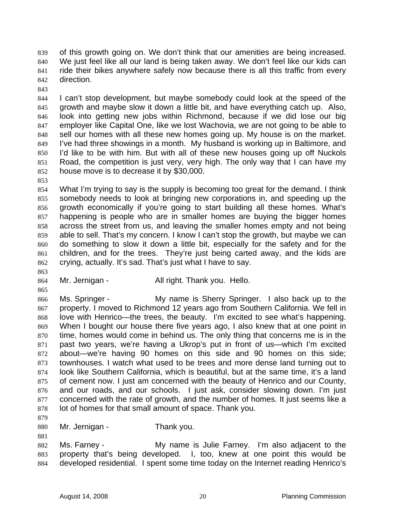of this growth going on. We don't think that our amenities are being increased. We just feel like all our land is being taken away. We don't feel like our kids can ride their bikes anywhere safely now because there is all this traffic from every direction. 839 840 841 842

843

844 845 846 847 848 849 850 851 852 I can't stop development, but maybe somebody could look at the speed of the growth and maybe slow it down a little bit, and have everything catch up. Also, look into getting new jobs within Richmond, because if we did lose our big employer like Capital One, like we lost Wachovia, we are not going to be able to sell our homes with all these new homes going up. My house is on the market. I've had three showings in a month. My husband is working up in Baltimore, and I'd like to be with him. But with all of these new houses going up off Nuckols Road, the competition is just very, very high. The only way that I can have my house move is to decrease it by \$30,000.

853

863

865

854 855 856 857 858 859 860 861 862 What I'm trying to say is the supply is becoming too great for the demand. I think somebody needs to look at bringing new corporations in, and speeding up the growth economically if you're going to start building all these homes. What's happening is people who are in smaller homes are buying the bigger homes across the street from us, and leaving the smaller homes empty and not being able to sell. That's my concern. I know I can't stop the growth, but maybe we can do something to slow it down a little bit, especially for the safety and for the children, and for the trees. They're just being carted away, and the kids are crying, actually. It's sad. That's just what I have to say.

864 Mr. Jernigan - All right. Thank you. Hello.

866 867 868 869 870 871 872 873 874 875 876 877 878 Ms. Springer - My name is Sherry Springer. I also back up to the property. I moved to Richmond 12 years ago from Southern California. We fell in love with Henrico—the trees, the beauty. I'm excited to see what's happening. When I bought our house there five years ago, I also knew that at one point in time, homes would come in behind us. The only thing that concerns me is in the past two years, we're having a Ukrop's put in front of us—which I'm excited about—we're having 90 homes on this side and 90 homes on this side; townhouses. I watch what used to be trees and more dense land turning out to look like Southern California, which is beautiful, but at the same time, it's a land of cement now. I just am concerned with the beauty of Henrico and our County, and our roads, and our schools. I just ask, consider slowing down. I'm just concerned with the rate of growth, and the number of homes. It just seems like a lot of homes for that small amount of space. Thank you.

879

881

880 Mr. Jernigan - Thank you.

882 883 884 Ms. Farney - The My name is Julie Farney. I'm also adjacent to the property that's being developed. I, too, knew at one point this would be developed residential. I spent some time today on the Internet reading Henrico's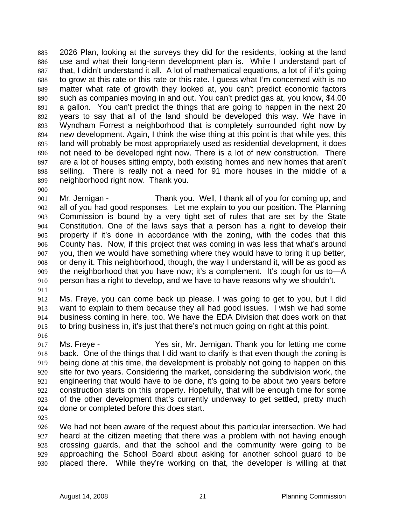2026 Plan, looking at the surveys they did for the residents, looking at the land use and what their long-term development plan is. While I understand part of that, I didn't understand it all. A lot of mathematical equations, a lot of if it's going to grow at this rate or this rate or this rate. I guess what I'm concerned with is no matter what rate of growth they looked at, you can't predict economic factors such as companies moving in and out. You can't predict gas at, you know, \$4.00 a gallon. You can't predict the things that are going to happen in the next 20 years to say that all of the land should be developed this way. We have in Wyndham Forrest a neighborhood that is completely surrounded right now by new development. Again, I think the wise thing at this point is that while yes, this land will probably be most appropriately used as residential development, it does not need to be developed right now. There is a lot of new construction. There are a lot of houses sitting empty, both existing homes and new homes that aren't selling. There is really not a need for 91 more houses in the middle of a neighborhood right now. Thank you. 885 886 887 888 889 890 891 892 893 894 895 896 897 898 899

900

901 902 903 904 905 906 907 908 909 910 Mr. Jernigan - Thank you. Well, I thank all of you for coming up, and all of you had good responses. Let me explain to you our position. The Planning Commission is bound by a very tight set of rules that are set by the State Constitution. One of the laws says that a person has a right to develop their property if it's done in accordance with the zoning, with the codes that this County has. Now, if this project that was coming in was less that what's around you, then we would have something where they would have to bring it up better, or deny it. This neighborhood, though, the way I understand it, will be as good as the neighborhood that you have now; it's a complement. It's tough for us to—A person has a right to develop, and we have to have reasons why we shouldn't.

911

912 913 914 915 Ms. Freye, you can come back up please. I was going to get to you, but I did want to explain to them because they all had good issues. I wish we had some business coming in here, too. We have the EDA Division that does work on that to bring business in, it's just that there's not much going on right at this point.

916

917 918 919 920 921 922 923 924 Ms. Freye - Yes sir, Mr. Jernigan. Thank you for letting me come back. One of the things that I did want to clarify is that even though the zoning is being done at this time, the development is probably not going to happen on this site for two years. Considering the market, considering the subdivision work, the engineering that would have to be done, it's going to be about two years before construction starts on this property. Hopefully, that will be enough time for some of the other development that's currently underway to get settled, pretty much done or completed before this does start.

925

926 927 928 929 930 We had not been aware of the request about this particular intersection. We had heard at the citizen meeting that there was a problem with not having enough crossing guards, and that the school and the community were going to be approaching the School Board about asking for another school guard to be placed there. While they're working on that, the developer is willing at that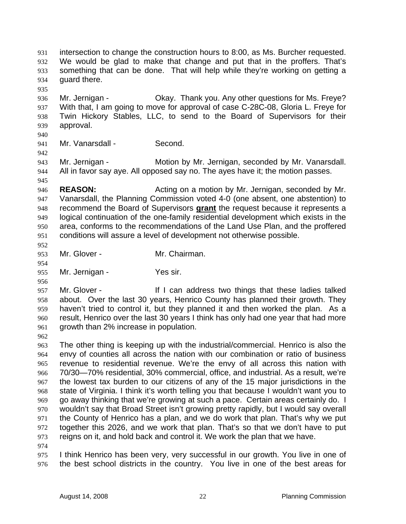intersection to change the construction hours to 8:00, as Ms. Burcher requested. We would be glad to make that change and put that in the proffers. That's something that can be done. That will help while they're working on getting a guard there. 931 932 933 934 935

936 937 938 939 Mr. Jernigan - Ckay. Thank you. Any other questions for Ms. Freye? With that, I am going to move for approval of case C-28C-08, Gloria L. Freye for Twin Hickory Stables, LLC, to send to the Board of Supervisors for their approval.

940

941 Mr. Vanarsdall - Second.

942

945

943 944 Mr. Jernigan - Motion by Mr. Jernigan, seconded by Mr. Vanarsdall. All in favor say aye. All opposed say no. The ayes have it; the motion passes.

946 947 **REASON:** Acting on a motion by Mr. Jernigan, seconded by Mr. Vanarsdall, the Planning Commission voted 4-0 (one absent, one abstention) to recommend the Board of Supervisors **grant** the request because it represents a logical continuation of the one-family residential development which exists in the area, conforms to the recommendations of the Land Use Plan, and the proffered conditions will assure a level of development not otherwise possible. 948 949 950 951

952

954

956

953 Mr. Glover - Mr. Chairman.

955 Mr. Jernigan - Yes sir.

957 958 959 960 961 Mr. Glover - The Music of It I can address two things that these ladies talked about. Over the last 30 years, Henrico County has planned their growth. They haven't tried to control it, but they planned it and then worked the plan. As a result, Henrico over the last 30 years I think has only had one year that had more growth than 2% increase in population.

962

963 964 965 966 967 968 969 970 971 972 973 The other thing is keeping up with the industrial/commercial. Henrico is also the envy of counties all across the nation with our combination or ratio of business revenue to residential revenue. We're the envy of all across this nation with 70/30—70% residential, 30% commercial, office, and industrial. As a result, we're the lowest tax burden to our citizens of any of the 15 major jurisdictions in the state of Virginia. I think it's worth telling you that because I wouldn't want you to go away thinking that we're growing at such a pace. Certain areas certainly do. I wouldn't say that Broad Street isn't growing pretty rapidly, but I would say overall the County of Henrico has a plan, and we do work that plan. That's why we put together this 2026, and we work that plan. That's so that we don't have to put reigns on it, and hold back and control it. We work the plan that we have.

974

975 976 I think Henrico has been very, very successful in our growth. You live in one of the best school districts in the country. You live in one of the best areas for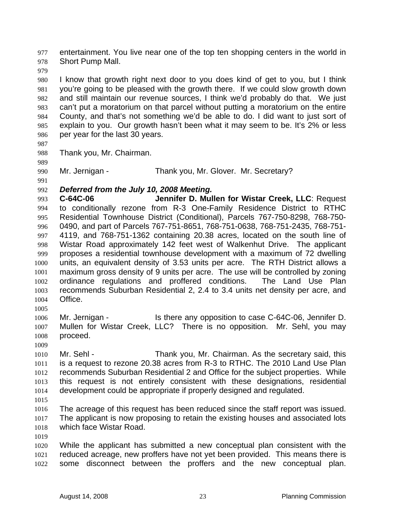entertainment. You live near one of the top ten shopping centers in the world in Short Pump Mall. 977 978

979

980 981 982 983 984 985 986 I know that growth right next door to you does kind of get to you, but I think you're going to be pleased with the growth there. If we could slow growth down and still maintain our revenue sources, I think we'd probably do that. We just can't put a moratorium on that parcel without putting a moratorium on the entire County, and that's not something we'd be able to do. I did want to just sort of explain to you. Our growth hasn't been what it may seem to be. It's 2% or less per year for the last 30 years.

987

989

988 Thank you, Mr. Chairman.

990 Mr. Jernigan - Thank you, Mr. Glover. Mr. Secretary?

## 991

## 992 *Deferred from the July 10, 2008 Meeting.*

993 994 995 996 997 998 999 1000 1001 1002 1003 1004 **C-64C-06 Jennifer D. Mullen for Wistar Creek, LLC**: Request to conditionally rezone from R-3 One-Family Residence District to RTHC Residential Townhouse District (Conditional), Parcels 767-750-8298, 768-750- 0490, and part of Parcels 767-751-8651, 768-751-0638, 768-751-2435, 768-751- 4119, and 768-751-1362 containing 20.38 acres, located on the south line of Wistar Road approximately 142 feet west of Walkenhut Drive. The applicant proposes a residential townhouse development with a maximum of 72 dwelling units, an equivalent density of 3.53 units per acre. The RTH District allows a maximum gross density of 9 units per acre. The use will be controlled by zoning ordinance regulations and proffered conditions. The Land Use Plan recommends Suburban Residential 2, 2.4 to 3.4 units net density per acre, and Office.

1005

1006 1007 1008 Mr. Jernigan - Is there any opposition to case C-64C-06, Jennifer D. Mullen for Wistar Creek, LLC? There is no opposition. Mr. Sehl, you may proceed.

1009

1010 1011 1012 1013 1014 Mr. Sehl - Thank you, Mr. Chairman. As the secretary said, this is a request to rezone 20.38 acres from R-3 to RTHC. The 2010 Land Use Plan recommends Suburban Residential 2 and Office for the subject properties. While this request is not entirely consistent with these designations, residential development could be appropriate if properly designed and regulated.

1015

1016 1017 1018 The acreage of this request has been reduced since the staff report was issued. The applicant is now proposing to retain the existing houses and associated lots which face Wistar Road.

1019

1020 1021 1022 While the applicant has submitted a new conceptual plan consistent with the reduced acreage, new proffers have not yet been provided. This means there is some disconnect between the proffers and the new conceptual plan.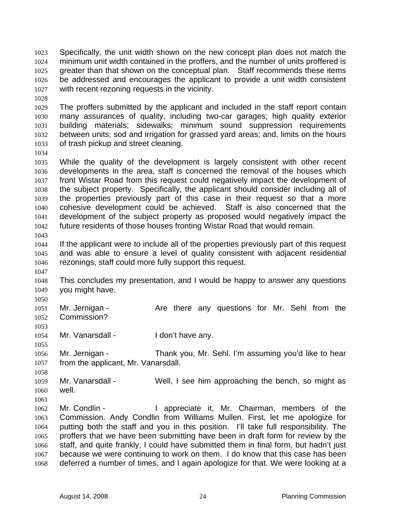Specifically, the unit width shown on the new concept plan does not match the minimum unit width contained in the proffers, and the number of units proffered is greater than that shown on the conceptual plan. Staff recommends these items be addressed and encourages the applicant to provide a unit width consistent with recent rezoning requests in the vicinity. 1023 1024 1025 1026 1027

1028

1029 1030 1031 1032 1033 The proffers submitted by the applicant and included in the staff report contain many assurances of quality, including two-car garages; high quality exterior building materials; sidewalks; minimum sound suppression requirements between units; sod and irrigation for grassed yard areas; and, limits on the hours of trash pickup and street cleaning.

1034

1047

1053

1055

1035 1036 1037 1038 1039 1040 1041 1042 1043 While the quality of the development is largely consistent with other recent developments in the area, staff is concerned the removal of the houses which front Wistar Road from this request could negatively impact the development of the subject property. Specifically, the applicant should consider including all of the properties previously part of this case in their request so that a more cohesive development could be achieved. Staff is also concerned that the development of the subject property as proposed would negatively impact the future residents of those houses fronting Wistar Road that would remain.

1044 1045 1046 If the applicant were to include all of the properties previously part of this request and was able to ensure a level of quality consistent with adjacent residential rezonings, staff could more fully support this request.

1048 1049 This concludes my presentation, and I would be happy to answer any questions you might have.

1050 1051 1052 Mr. Jernigan - The Are there any questions for Mr. Sehl from the Commission?

1054 Mr. Vanarsdall - I don't have any.

1056 1057 Mr. Jernigan - Thank you, Mr. Sehl. I'm assuming you'd like to hear from the applicant, Mr. Vanarsdall.

1058 1059 1060 Mr. Vanarsdall - Well, I see him approaching the bench, so might as well.

1061

1062 1063 1064 1065 1066 1067 1068 Mr. Condlin - The Muslim Huppreciate it, Mr. Chairman, members of the Commission. Andy Condlin from Williams Mullen. First, let me apologize for putting both the staff and you in this position. I'll take full responsibility. The proffers that we have been submitting have been in draft form for review by the staff, and quite frankly, I could have submitted them in final form, but hadn't just because we were continuing to work on them. I do know that this case has been deferred a number of times, and I again apologize for that. We were looking at a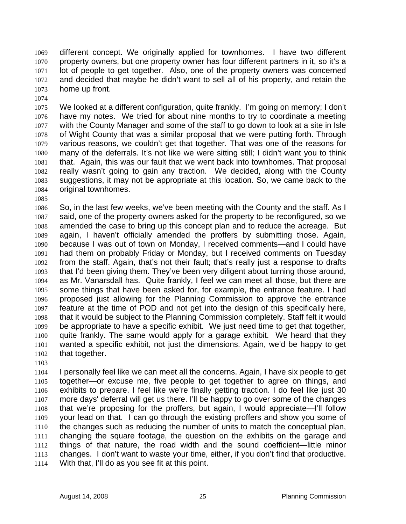different concept. We originally applied for townhomes. I have two different property owners, but one property owner has four different partners in it, so it's a lot of people to get together. Also, one of the property owners was concerned and decided that maybe he didn't want to sell all of his property, and retain the home up front. 1069 1070 1071 1072 1073

- 1075 1076 1077 1078 1079 1080 1081 1082 1083 1084 We looked at a different configuration, quite frankly. I'm going on memory; I don't have my notes. We tried for about nine months to try to coordinate a meeting with the County Manager and some of the staff to go down to look at a site in Isle of Wight County that was a similar proposal that we were putting forth. Through various reasons, we couldn't get that together. That was one of the reasons for many of the deferrals. It's not like we were sitting still; I didn't want you to think that. Again, this was our fault that we went back into townhomes. That proposal really wasn't going to gain any traction. We decided, along with the County suggestions, it may not be appropriate at this location. So, we came back to the original townhomes.
- 1085

1074

1086 1087 1088 1089 1090 1091 1092 1093 1094 1095 1096 1097 1098 1099 1100 1101 1102 So, in the last few weeks, we've been meeting with the County and the staff. As I said, one of the property owners asked for the property to be reconfigured, so we amended the case to bring up this concept plan and to reduce the acreage. But again, I haven't officially amended the proffers by submitting those. Again, because I was out of town on Monday, I received comments—and I could have had them on probably Friday or Monday, but I received comments on Tuesday from the staff. Again, that's not their fault; that's really just a response to drafts that I'd been giving them. They've been very diligent about turning those around, as Mr. Vanarsdall has. Quite frankly, I feel we can meet all those, but there are some things that have been asked for, for example, the entrance feature. I had proposed just allowing for the Planning Commission to approve the entrance feature at the time of POD and not get into the design of this specifically here, that it would be subject to the Planning Commission completely. Staff felt it would be appropriate to have a specific exhibit. We just need time to get that together, quite frankly. The same would apply for a garage exhibit. We heard that they wanted a specific exhibit, not just the dimensions. Again, we'd be happy to get that together.

1103

1104 1105 1106 1107 1108 1109 1110 1111 1112 1113 1114 I personally feel like we can meet all the concerns. Again, I have six people to get together—or excuse me, five people to get together to agree on things, and exhibits to prepare. I feel like we're finally getting traction. I do feel like just 30 more days' deferral will get us there. I'll be happy to go over some of the changes that we're proposing for the proffers, but again, I would appreciate—I'll follow your lead on that. I can go through the existing proffers and show you some of the changes such as reducing the number of units to match the conceptual plan, changing the square footage, the question on the exhibits on the garage and things of that nature, the road width and the sound coefficient—little minor changes. I don't want to waste your time, either, if you don't find that productive. With that, I'll do as you see fit at this point.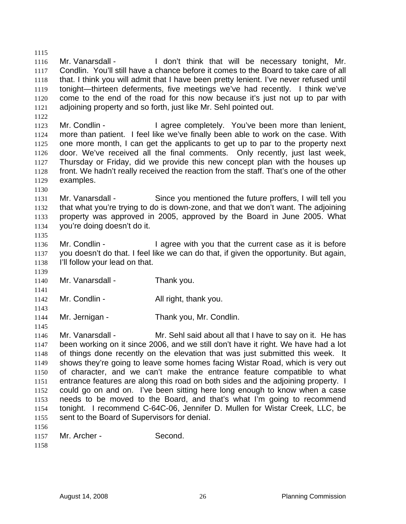1115 1116 1117 1118 1119 1120 1121 Mr. Vanarsdall - I don't think that will be necessary tonight, Mr. Condlin. You'll still have a chance before it comes to the Board to take care of all that. I think you will admit that I have been pretty lenient. I've never refused until tonight—thirteen deferments, five meetings we've had recently. I think we've come to the end of the road for this now because it's just not up to par with adjoining property and so forth, just like Mr. Sehl pointed out.

1123 1124 1125 1126 1127 1128 1129 Mr. Condlin - The agree completely. You've been more than lenient, more than patient. I feel like we've finally been able to work on the case. With one more month, I can get the applicants to get up to par to the property next door. We've received all the final comments. Only recently, just last week, Thursday or Friday, did we provide this new concept plan with the houses up front. We hadn't really received the reaction from the staff. That's one of the other examples.

1130

1135

1139

1141

1143

1145

1122

1131 1132 1133 1134 Mr. Vanarsdall - Since you mentioned the future proffers, I will tell you that what you're trying to do is down-zone, and that we don't want. The adjoining property was approved in 2005, approved by the Board in June 2005. What you're doing doesn't do it.

1136 1137 1138 Mr. Condlin - The agree with you that the current case as it is before you doesn't do that. I feel like we can do that, if given the opportunity. But again, I'll follow your lead on that.

- 1140 Mr. Vanarsdall - Thank you.
- 1142 Mr. Condlin - All right, thank you.
- 1144 Mr. Jernigan - Thank you, Mr. Condlin.

1146 1147 1148 1149 1150 1151 1152 1153 1154 1155 1156 Mr. Vanarsdall - Mr. Sehl said about all that I have to say on it. He has been working on it since 2006, and we still don't have it right. We have had a lot of things done recently on the elevation that was just submitted this week. It shows they're going to leave some homes facing Wistar Road, which is very out of character, and we can't make the entrance feature compatible to what entrance features are along this road on both sides and the adjoining property. I could go on and on. I've been sitting here long enough to know when a case needs to be moved to the Board, and that's what I'm going to recommend tonight. I recommend C-64C-06, Jennifer D. Mullen for Wistar Creek, LLC, be sent to the Board of Supervisors for denial.

| 1157 | Mr. Archer - | Second. |
|------|--------------|---------|
|      |              |         |

1158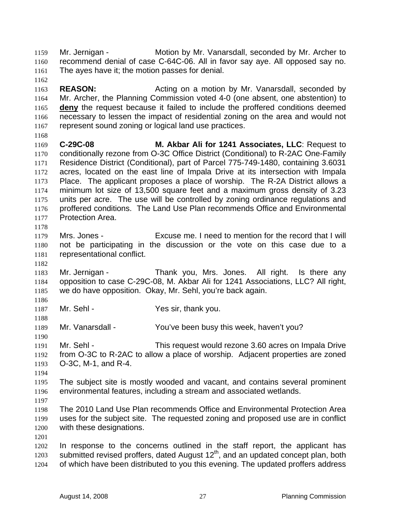Mr. Jernigan - Motion by Mr. Vanarsdall, seconded by Mr. Archer to recommend denial of case C-64C-06. All in favor say aye. All opposed say no. The ayes have it; the motion passes for denial. 1159 1160 1161

1163 1164 **REASON: Acting on a motion by Mr. Vanarsdall, seconded by REASON:** Mr. Archer, the Planning Commission voted 4-0 (one absent, one abstention) to **deny** the request because it failed to include the proffered conditions deemed necessary to lessen the impact of residential zoning on the area and would not represent sound zoning or logical land use practices. 1165 1166 1167

- 1169 1170 1171 1172 1173 1174 1175 1176 1177 **C-29C-08 M. Akbar Ali for 1241 Associates, LLC**: Request to conditionally rezone from O-3C Office District (Conditional) to R-2AC One-Family Residence District (Conditional), part of Parcel 775-749-1480, containing 3.6031 acres, located on the east line of Impala Drive at its intersection with Impala Place. The applicant proposes a place of worship. The R-2A District allows a minimum lot size of 13,500 square feet and a maximum gross density of 3.23 units per acre. The use will be controlled by zoning ordinance regulations and proffered conditions. The Land Use Plan recommends Office and Environmental Protection Area.
- 1179 1180 1181 Mrs. Jones - Excuse me. I need to mention for the record that I will not be participating in the discussion or the vote on this case due to a representational conflict.
- 1182

1178

1162

1168

1183 1184 1185 Mr. Jernigan - Thank you, Mrs. Jones. All right. Is there any opposition to case C-29C-08, M. Akbar Ali for 1241 Associations, LLC? All right, we do have opposition. Okay, Mr. Sehl, you're back again.

1186

1188

1190

1187 Mr. Sehl - Yes sir, thank you.

1189 Mr. Vanarsdall - You've been busy this week, haven't you?

1191 1192 1193 Mr. Sehl - This request would rezone 3.60 acres on Impala Drive from O-3C to R-2AC to allow a place of worship. Adjacent properties are zoned O-3C, M-1, and R-4.

1194

1197

1195 1196 The subject site is mostly wooded and vacant, and contains several prominent environmental features, including a stream and associated wetlands.

1198 1199 1200 The 2010 Land Use Plan recommends Office and Environmental Protection Area uses for the subject site. The requested zoning and proposed use are in conflict with these designations.

1201

1202 1203 1204 In response to the concerns outlined in the staff report, the applicant has submitted revised proffers, dated August  $12<sup>th</sup>$ , and an updated concept plan, both of which have been distributed to you this evening. The updated proffers address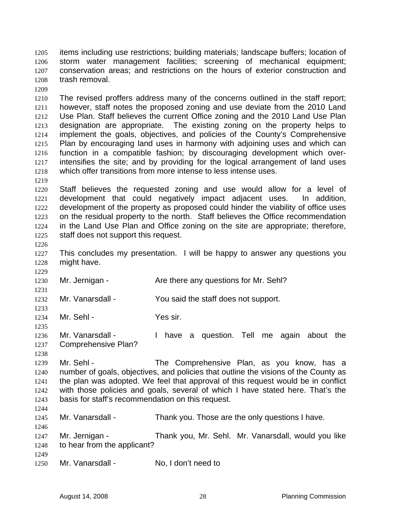items including use restrictions; building materials; landscape buffers; location of storm water management facilities; screening of mechanical equipment; conservation areas; and restrictions on the hours of exterior construction and trash removal. 1205 1206 1207 1208

1209

1210 1211 1212 1213 1214 1215 1216 1217 1218 The revised proffers address many of the concerns outlined in the staff report; however, staff notes the proposed zoning and use deviate from the 2010 Land Use Plan. Staff believes the current Office zoning and the 2010 Land Use Plan designation are appropriate. The existing zoning on the property helps to implement the goals, objectives, and policies of the County's Comprehensive Plan by encouraging land uses in harmony with adjoining uses and which can function in a compatible fashion; by discouraging development which overintensifies the site; and by providing for the logical arrangement of land uses which offer transitions from more intense to less intense uses.

1219

1220 1221 1222 1223 1224 1225 Staff believes the requested zoning and use would allow for a level of development that could negatively impact adjacent uses. In addition, development of the property as proposed could hinder the viability of office uses on the residual property to the north. Staff believes the Office recommendation in the Land Use Plan and Office zoning on the site are appropriate; therefore, staff does not support this request.

1226

1229

1231

1233

1235

1227 1228 This concludes my presentation. I will be happy to answer any questions you might have.

1230 Mr. Jernigan - The Are there any questions for Mr. Sehl?

1232 Mr. Vanarsdall - You said the staff does not support.

1234 Mr. Sehl - Yes sir.

1236 1237 Mr. Vanarsdall - Thave a question. Tell me again about the Comprehensive Plan?

1238 1239 1240 1241 1242 1243 Mr. Sehl - The Comprehensive Plan, as you know, has a number of goals, objectives, and policies that outline the visions of the County as the plan was adopted. We feel that approval of this request would be in conflict with those policies and goals, several of which I have stated here. That's the basis for staff's recommendation on this request.

1245 Mr. Vanarsdall - Thank you. Those are the only questions I have.

1247 1248 Mr. Jernigan - Thank you, Mr. Sehl. Mr. Vanarsdall, would you like to hear from the applicant?

1249

1244

1246

1250 Mr. Vanarsdall - No. I don't need to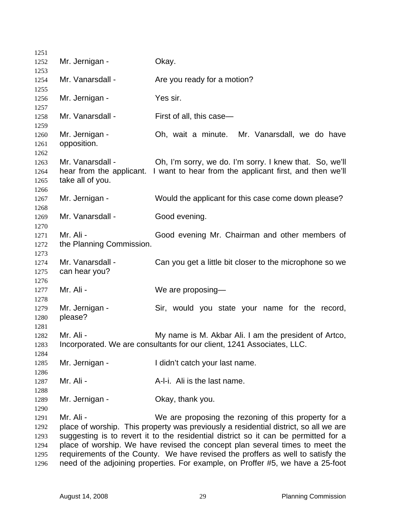| 1251 |                          |                                                                                      |
|------|--------------------------|--------------------------------------------------------------------------------------|
| 1252 | Mr. Jernigan -           | Okay.                                                                                |
| 1253 |                          |                                                                                      |
| 1254 | Mr. Vanarsdall -         | Are you ready for a motion?                                                          |
| 1255 |                          |                                                                                      |
| 1256 | Mr. Jernigan -           | Yes sir.                                                                             |
| 1257 |                          |                                                                                      |
| 1258 | Mr. Vanarsdall -         | First of all, this case-                                                             |
| 1259 |                          |                                                                                      |
| 1260 | Mr. Jernigan -           | Oh, wait a minute. Mr. Vanarsdall, we do have                                        |
| 1261 | opposition.              |                                                                                      |
| 1262 |                          |                                                                                      |
| 1263 | Mr. Vanarsdall -         | Oh, I'm sorry, we do. I'm sorry. I knew that. So, we'll                              |
| 1264 | hear from the applicant. | I want to hear from the applicant first, and then we'll                              |
| 1265 | take all of you.         |                                                                                      |
| 1266 |                          |                                                                                      |
| 1267 | Mr. Jernigan -           | Would the applicant for this case come down please?                                  |
| 1268 |                          |                                                                                      |
| 1269 | Mr. Vanarsdall -         | Good evening.                                                                        |
| 1270 |                          |                                                                                      |
| 1271 | Mr. Ali -                | Good evening Mr. Chairman and other members of                                       |
| 1272 | the Planning Commission. |                                                                                      |
| 1273 |                          |                                                                                      |
| 1274 | Mr. Vanarsdall -         | Can you get a little bit closer to the microphone so we                              |
| 1275 | can hear you?            |                                                                                      |
| 1276 |                          |                                                                                      |
| 1277 | Mr. Ali -                | We are proposing-                                                                    |
| 1278 |                          |                                                                                      |
| 1279 | Mr. Jernigan -           | Sir, would you state your name for the record,                                       |
| 1280 | please?                  |                                                                                      |
| 1281 |                          |                                                                                      |
| 1282 | Mr. Ali -                | My name is M. Akbar Ali. I am the president of Artco,                                |
| 1283 |                          | Incorporated. We are consultants for our client, 1241 Associates, LLC.               |
| 1284 |                          |                                                                                      |
| 1285 | Mr. Jernigan -           | I didn't catch your last name.                                                       |
| 1286 |                          |                                                                                      |
| 1287 | Mr. Ali -                | A-I-i. Ali is the last name.                                                         |
| 1288 |                          |                                                                                      |
| 1289 | Mr. Jernigan -           | Okay, thank you.                                                                     |
| 1290 |                          |                                                                                      |
| 1291 | Mr. Ali -                | We are proposing the rezoning of this property for a                                 |
| 1292 |                          | place of worship. This property was previously a residential district, so all we are |
| 1293 |                          | suggesting is to revert it to the residential district so it can be permitted for a  |
| 1294 |                          | place of worship. We have revised the concept plan several times to meet the         |
| 1295 |                          | requirements of the County. We have revised the proffers as well to satisfy the      |
| 1296 |                          | need of the adjoining properties. For example, on Proffer #5, we have a 25-foot      |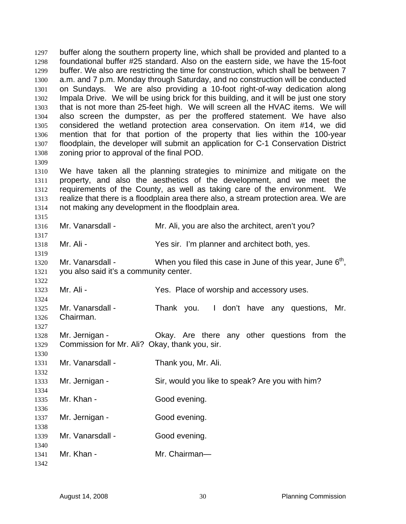buffer along the southern property line, which shall be provided and planted to a foundational buffer #25 standard. Also on the eastern side, we have the 15-foot buffer. We also are restricting the time for construction, which shall be between 7 a.m. and 7 p.m. Monday through Saturday, and no construction will be conducted on Sundays. We are also providing a 10-foot right-of-way dedication along Impala Drive. We will be using brick for this building, and it will be just one story that is not more than 25-feet high. We will screen all the HVAC items. We will also screen the dumpster, as per the proffered statement. We have also considered the wetland protection area conservation. On item #14, we did mention that for that portion of the property that lies within the 100-year floodplain, the developer will submit an application for C-1 Conservation District zoning prior to approval of the final POD. 1297 1298 1299 1300 1301 1302 1303 1304 1305 1306 1307 1308

1310 1311 1312 1313 1314 We have taken all the planning strategies to minimize and mitigate on the property, and also the aesthetics of the development, and we meet the requirements of the County, as well as taking care of the environment. We realize that there is a floodplain area there also, a stream protection area. We are not making any development in the floodplain area.

1316 Mr. Vanarsdall - Mr. Ali, you are also the architect, aren't you?

1318 Mr. Ali - Yes sir. I'm planner and architect both, yes.

1320 1321 Mr. Vanarsdall - When you filed this case in June of this year, June  $6<sup>th</sup>$ , you also said it's a community center.

1323 Mr. Ali - Yes. Place of worship and accessory uses.

1325 1326 Mr. Vanarsdall - Thank you. I don't have any questions, Mr. Chairman.

1328 1329 Mr. Jernigan - Ckay. Are there any other questions from the Commission for Mr. Ali? Okay, thank you, sir.

1331 Mr. Vanarsdall - Thank you, Mr. Ali.

1333 Mr. Jernigan - Sir, would you like to speak? Are you with him?

1335 1336 Mr. Khan - Good evening.

1337 Mr. Jernigan - Good evening.

1338 1339 1340 Mr. Vanarsdall - Good evening.

1341 1342 Mr. Khan - Mr. Chairman-

1309

1315

1317

1319

1322

1324

1327

1330

1332

1334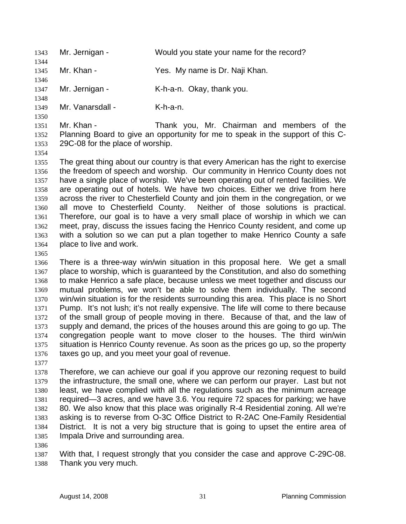1343 Mr. Jernigan - Would you state your name for the record? 1344

1345 Mr. Khan - Yes. My name is Dr. Naji Khan.

1346 1347

1348 1349 Mr. Vanarsdall - K-h-a-n.

Mr. Jernigan - K-h-a-n. Okay, thank you.

1351 1352 1353 Mr. Khan - Thank you, Mr. Chairman and members of the Planning Board to give an opportunity for me to speak in the support of this C-29C-08 for the place of worship.

1354

1350

1355 1356 1357 1358 1359 1360 1361 1362 1363 1364 The great thing about our country is that every American has the right to exercise the freedom of speech and worship. Our community in Henrico County does not have a single place of worship. We've been operating out of rented facilities. We are operating out of hotels. We have two choices. Either we drive from here across the river to Chesterfield County and join them in the congregation, or we all move to Chesterfield County. Neither of those solutions is practical. Therefore, our goal is to have a very small place of worship in which we can meet, pray, discuss the issues facing the Henrico County resident, and come up with a solution so we can put a plan together to make Henrico County a safe place to live and work.

1365

1366 1367 1368 1369 1370 1371 1372 1373 1374 1375 1376 There is a three-way win/win situation in this proposal here. We get a small place to worship, which is guaranteed by the Constitution, and also do something to make Henrico a safe place, because unless we meet together and discuss our mutual problems, we won't be able to solve them individually. The second win/win situation is for the residents surrounding this area. This place is no Short Pump. It's not lush; it's not really expensive. The life will come to there because of the small group of people moving in there. Because of that, and the law of supply and demand, the prices of the houses around this are going to go up. The congregation people want to move closer to the houses. The third win/win situation is Henrico County revenue. As soon as the prices go up, so the property taxes go up, and you meet your goal of revenue.

1377

1378 1379 1380 1381 1382 1383 1384 1385 Therefore, we can achieve our goal if you approve our rezoning request to build the infrastructure, the small one, where we can perform our prayer. Last but not least, we have complied with all the regulations such as the minimum acreage required—3 acres, and we have 3.6. You require 72 spaces for parking; we have 80. We also know that this place was originally R-4 Residential zoning. All we're asking is to reverse from O-3C Office District to R-2AC One-Family Residential District. It is not a very big structure that is going to upset the entire area of Impala Drive and surrounding area.

1386

1387 1388 With that, I request strongly that you consider the case and approve C-29C-08. Thank you very much.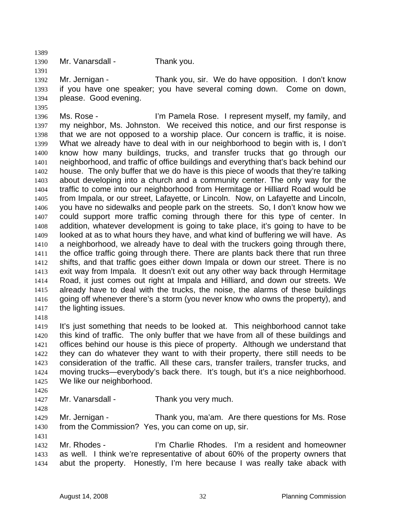1390 Mr. Vanarsdall - Thank you.

1392 1393 1394 Mr. Jernigan - Thank you, sir. We do have opposition. I don't know if you have one speaker; you have several coming down. Come on down, please. Good evening.

1396 1397 1398 1399 1400 1401 1402 1403 1404 1405 1406 1407 1408 1409 1410 1411 1412 1413 1414 1415 1416 1417 Ms. Rose - I'm Pamela Rose. I represent myself, my family, and my neighbor, Ms. Johnston. We received this notice, and our first response is that we are not opposed to a worship place. Our concern is traffic, it is noise. What we already have to deal with in our neighborhood to begin with is, I don't know how many buildings, trucks, and transfer trucks that go through our neighborhood, and traffic of office buildings and everything that's back behind our house. The only buffer that we do have is this piece of woods that they're talking about developing into a church and a community center. The only way for the traffic to come into our neighborhood from Hermitage or Hilliard Road would be from Impala, or our street, Lafayette, or Lincoln. Now, on Lafayette and Lincoln, you have no sidewalks and people park on the streets. So, I don't know how we could support more traffic coming through there for this type of center. In addition, whatever development is going to take place, it's going to have to be looked at as to what hours they have, and what kind of buffering we will have. As a neighborhood, we already have to deal with the truckers going through there, the office traffic going through there. There are plants back there that run three shifts, and that traffic goes either down Impala or down our street. There is no exit way from Impala. It doesn't exit out any other way back through Hermitage Road, it just comes out right at Impala and Hilliard, and down our streets. We already have to deal with the trucks, the noise, the alarms of these buildings going off whenever there's a storm (you never know who owns the property), and the lighting issues.

1418

1389

1391

1395

1419 1420 1421 1422 1423 1424 1425 It's just something that needs to be looked at. This neighborhood cannot take this kind of traffic. The only buffer that we have from all of these buildings and offices behind our house is this piece of property. Although we understand that they can do whatever they want to with their property, there still needs to be consideration of the traffic. All these cars, transfer trailers, transfer trucks, and moving trucks—everybody's back there. It's tough, but it's a nice neighborhood. We like our neighborhood.

1426

1428

1431

1427 Mr. Vanarsdall - Thank you very much.

1429 1430 Mr. Jernigan - Thank you, ma'am. Are there questions for Ms. Rose from the Commission? Yes, you can come on up, sir.

1432 1433 1434 Mr. Rhodes - I'm Charlie Rhodes. I'm a resident and homeowner as well. I think we're representative of about 60% of the property owners that abut the property. Honestly, I'm here because I was really take aback with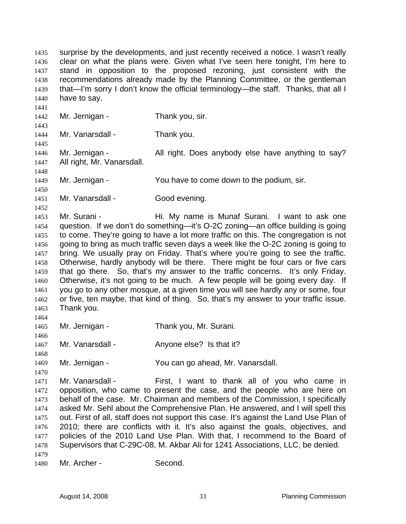surprise by the developments, and just recently received a notice. I wasn't really clear on what the plans were. Given what I've seen here tonight, I'm here to stand in opposition to the proposed rezoning, just consistent with the recommendations already made by the Planning Committee, or the gentleman that—I'm sorry I don't know the official terminology—the staff. Thanks, that all I have to say. 1435 1436 1437 1438 1439 1440 1441 1442 1443 1444 1445 1446 1447 1448 1449 1450 1451 1452 1453 1454 1455 1456 1457 1458 1459 1460 1461 1462 1463 1464 1465 1466 1467 1468 1469 1470 1471 1472 1473 1474 1475 1476 1477 Mr. Jernigan - Thank you, sir. Mr. Vanarsdall - Thank you. Mr. Jernigan - All right. Does anybody else have anything to say? All right, Mr. Vanarsdall. Mr. Jernigan - The You have to come down to the podium, sir. Mr. Vanarsdall - Good evening. Mr. Surani - Thi. My name is Munaf Surani. I want to ask one question. If we don't do something—it's O-2C zoning—an office building is going to come. They're going to have a lot more traffic on this. The congregation is not going to bring as much traffic seven days a week like the O-2C zoning is going to bring. We usually pray on Friday. That's where you're going to see the traffic. Otherwise, hardly anybody will be there. There might be four cars or five cars that go there. So, that's my answer to the traffic concerns. It's only Friday. Otherwise, it's not going to be much. A few people will be going every day. If you go to any other mosque, at a given time you will see hardly any or some, four or five, ten maybe, that kind of thing. So, that's my answer to your traffic issue. Thank you. Mr. Jernigan - Thank you, Mr. Surani. Mr. Vanarsdall - Anyone else? Is that it? Mr. Jernigan - You can go ahead, Mr. Vanarsdall. Mr. Vanarsdall - First, I want to thank all of you who came in opposition, who came to present the case, and the people who are here on behalf of the case. Mr. Chairman and members of the Commission, I specifically asked Mr. Sehl about the Comprehensive Plan. He answered, and I will spell this out. First of all, staff does not support this case. It's against the Land Use Plan of 2010; there are conflicts with it. It's also against the goals, objectives, and policies of the 2010 Land Use Plan. With that, I recommend to the Board of Supervisors that C-29C-08, M. Akbar Ali for 1241 Associations, LLC, be denied.

- 1478 1479
- 1480 Mr. Archer - Second.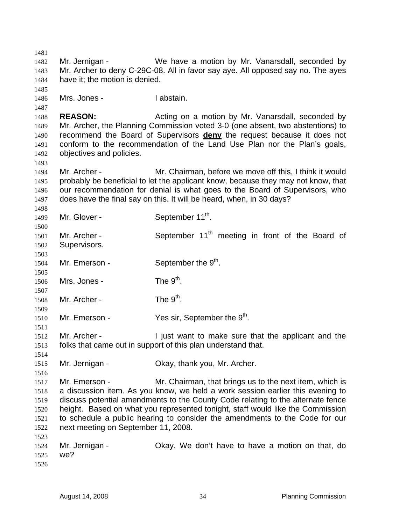1481 1482 1483 1484 1485 1486 1487 1488 1489 Mr. Jernigan - We have a motion by Mr. Vanarsdall, seconded by Mr. Archer to deny C-29C-08. All in favor say aye. All opposed say no. The ayes have it; the motion is denied. Mrs. Jones - I abstain. **REASON:** Acting on a motion by Mr. Vanarsdall, seconded by Mr. Archer, the Planning Commission voted 3-0 (one absent, two abstentions) to recommend the Board of Supervisors **deny** the request because it does not conform to the recommendation of the Land Use Plan nor the Plan's goals, objectives and policies. 1490 1491 1492 1493 1494 1495 1496 1497 1498 1499 1500 1501 1502 1503 1504 1505 1506 1507 1508 1509 1510 1511 1512 1513 1514 1515 1516 1517 1518 1519 1520 1521 1522 1523 1524 1525 1526 Mr. Archer - The Mr. Chairman, before we move off this, I think it would probably be beneficial to let the applicant know, because they may not know, that our recommendation for denial is what goes to the Board of Supervisors, who does have the final say on this. It will be heard, when, in 30 days? Mr. Glover - September  $11^{th}$ . Mr. Archer - September  $11<sup>th</sup>$  meeting in front of the Board of Supervisors. Mr. Emerson - September the  $9<sup>th</sup>$ . Mrs. Jones -  $\qquad \qquad$  The  $9^{\text{th}}$ . Mr. Archer -  $\qquad \qquad$  The  $9^{\text{th}}$ . Mr. Emerson -  $Y$ es sir, September the  $9<sup>th</sup>$ . Mr. Archer - Times I just want to make sure that the applicant and the folks that came out in support of this plan understand that. Mr. Jernigan - Ckay, thank you, Mr. Archer. Mr. Emerson - The Mr. Chairman, that brings us to the next item, which is a discussion item. As you know, we held a work session earlier this evening to discuss potential amendments to the County Code relating to the alternate fence height. Based on what you represented tonight, staff would like the Commission to schedule a public hearing to consider the amendments to the Code for our next meeting on September 11, 2008. Mr. Jernigan - Okay. We don't have to have a motion on that, do we?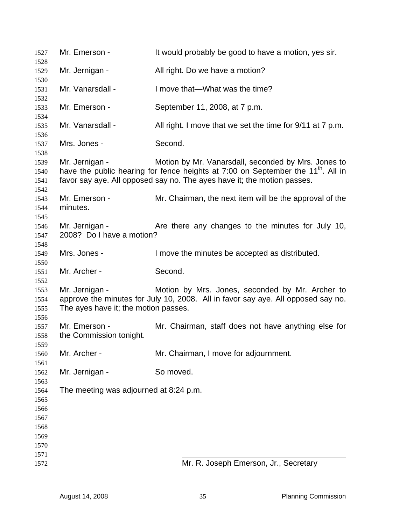| 1527                                 | Mr. Emerson -                                          | It would probably be good to have a motion, yes sir.                                                                                                                                                                           |
|--------------------------------------|--------------------------------------------------------|--------------------------------------------------------------------------------------------------------------------------------------------------------------------------------------------------------------------------------|
| 1528<br>1529                         | Mr. Jernigan -                                         | All right. Do we have a motion?                                                                                                                                                                                                |
| 1530                                 |                                                        |                                                                                                                                                                                                                                |
| 1531<br>1532                         | Mr. Vanarsdall -                                       | I move that—What was the time?                                                                                                                                                                                                 |
| 1533                                 | Mr. Emerson -                                          | September 11, 2008, at 7 p.m.                                                                                                                                                                                                  |
| 1534<br>1535                         | Mr. Vanarsdall -                                       | All right. I move that we set the time for 9/11 at 7 p.m.                                                                                                                                                                      |
| 1536<br>1537                         | Mrs. Jones -                                           | Second.                                                                                                                                                                                                                        |
| 1538<br>1539<br>1540<br>1541         | Mr. Jernigan -                                         | Motion by Mr. Vanarsdall, seconded by Mrs. Jones to<br>have the public hearing for fence heights at 7:00 on September the 11 <sup>th</sup> . All in<br>favor say aye. All opposed say no. The ayes have it; the motion passes. |
| 1542<br>1543<br>1544<br>1545         | Mr. Emerson -<br>minutes.                              | Mr. Chairman, the next item will be the approval of the                                                                                                                                                                        |
| 1546<br>1547<br>1548                 | Mr. Jernigan -<br>2008? Do I have a motion?            | Are there any changes to the minutes for July 10,                                                                                                                                                                              |
| 1549                                 | Mrs. Jones -                                           | I move the minutes be accepted as distributed.                                                                                                                                                                                 |
| 1550<br>1551                         | Mr. Archer -                                           | Second.                                                                                                                                                                                                                        |
| 1552<br>1553<br>1554<br>1555         | Mr. Jernigan -<br>The ayes have it; the motion passes. | Motion by Mrs. Jones, seconded by Mr. Archer to<br>approve the minutes for July 10, 2008. All in favor say aye. All opposed say no.                                                                                            |
| 1556<br>1557<br>1558<br>1559         | Mr. Emerson -<br>the Commission tonight.               | Mr. Chairman, staff does not have anything else for                                                                                                                                                                            |
| 1560                                 | Mr. Archer -                                           | Mr. Chairman, I move for adjournment.                                                                                                                                                                                          |
| 1561<br>1562                         | Mr. Jernigan -                                         | So moved.                                                                                                                                                                                                                      |
| 1563<br>1564<br>1565<br>1566<br>1567 | The meeting was adjourned at 8:24 p.m.                 |                                                                                                                                                                                                                                |
| 1568<br>1569<br>1570                 |                                                        |                                                                                                                                                                                                                                |
| 1571                                 |                                                        |                                                                                                                                                                                                                                |
| 1572                                 |                                                        | Mr. R. Joseph Emerson, Jr., Secretary                                                                                                                                                                                          |